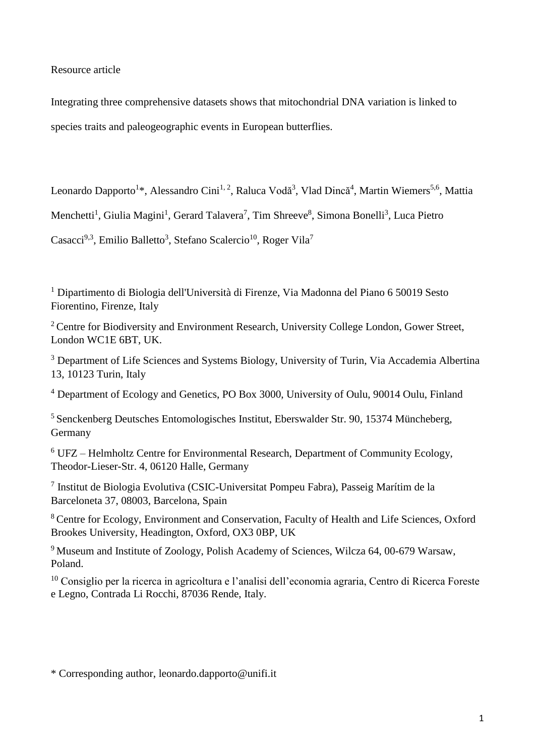Resource article

Integrating three comprehensive datasets shows that mitochondrial DNA variation is linked to species traits and paleogeographic events in European butterflies.

Leonardo Dapporto<sup>1\*</sup>, Alessandro Cini<sup>1, 2</sup>, Raluca Vodă<sup>3</sup>, Vlad Dincă<sup>4</sup>, Martin Wiemers<sup>5,6</sup>, Mattia

Menchetti<sup>1</sup>, Giulia Magini<sup>1</sup>, Gerard Talavera<sup>7</sup>, Tim Shreeve<sup>8</sup>, Simona Bonelli<sup>3</sup>, Luca Pietro

Casacci<sup>9,3</sup>, Emilio Balletto<sup>3</sup>, Stefano Scalercio<sup>10</sup>, Roger Vila<sup>7</sup>

<sup>1</sup> Dipartimento di Biologia dell'Università di Firenze, Via Madonna del Piano 6 50019 Sesto Fiorentino, Firenze, Italy

<sup>2</sup> Centre for Biodiversity and Environment Research, University College London, Gower Street, London WC1E 6BT, UK.

<sup>3</sup> Department of Life Sciences and Systems Biology, University of Turin, Via Accademia Albertina 13, 10123 Turin, Italy

<sup>4</sup> Department of Ecology and Genetics, PO Box 3000, University of Oulu, 90014 Oulu, Finland

<sup>5</sup> Senckenberg Deutsches Entomologisches Institut, Eberswalder Str. 90, 15374 Müncheberg, Germany

<sup>6</sup> UFZ – Helmholtz Centre for Environmental Research, Department of Community Ecology, Theodor-Lieser-Str. 4, 06120 Halle, Germany

7 Institut de Biologia Evolutiva (CSIC-Universitat Pompeu Fabra), Passeig Marítim de la Barceloneta 37, 08003, Barcelona, Spain

<sup>8</sup> Centre for Ecology, Environment and Conservation, Faculty of Health and Life Sciences, Oxford Brookes University, Headington, Oxford, OX3 0BP, UK

<sup>9</sup> Museum and Institute of Zoology, Polish Academy of Sciences, Wilcza 64, 00-679 Warsaw, Poland.

<sup>10</sup> Consiglio per la ricerca in agricoltura e l'analisi dell'economia agraria, Centro di Ricerca Foreste e Legno, Contrada Li Rocchi, 87036 Rende, Italy.

\* Corresponding author, leonardo.dapporto@unifi.it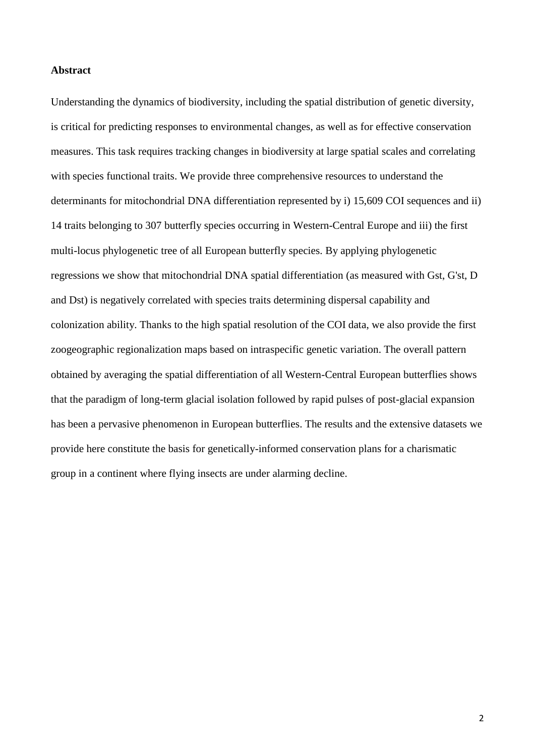### **Abstract**

Understanding the dynamics of biodiversity, including the spatial distribution of genetic diversity, is critical for predicting responses to environmental changes, as well as for effective conservation measures. This task requires tracking changes in biodiversity at large spatial scales and correlating with species functional traits. We provide three comprehensive resources to understand the determinants for mitochondrial DNA differentiation represented by i) 15,609 COI sequences and ii) 14 traits belonging to 307 butterfly species occurring in Western-Central Europe and iii) the first multi-locus phylogenetic tree of all European butterfly species. By applying phylogenetic regressions we show that mitochondrial DNA spatial differentiation (as measured with Gst, G'st, D and Dst) is negatively correlated with species traits determining dispersal capability and colonization ability. Thanks to the high spatial resolution of the COI data, we also provide the first zoogeographic regionalization maps based on intraspecific genetic variation. The overall pattern obtained by averaging the spatial differentiation of all Western-Central European butterflies shows that the paradigm of long-term glacial isolation followed by rapid pulses of post-glacial expansion has been a pervasive phenomenon in European butterflies. The results and the extensive datasets we provide here constitute the basis for genetically-informed conservation plans for a charismatic group in a continent where flying insects are under alarming decline.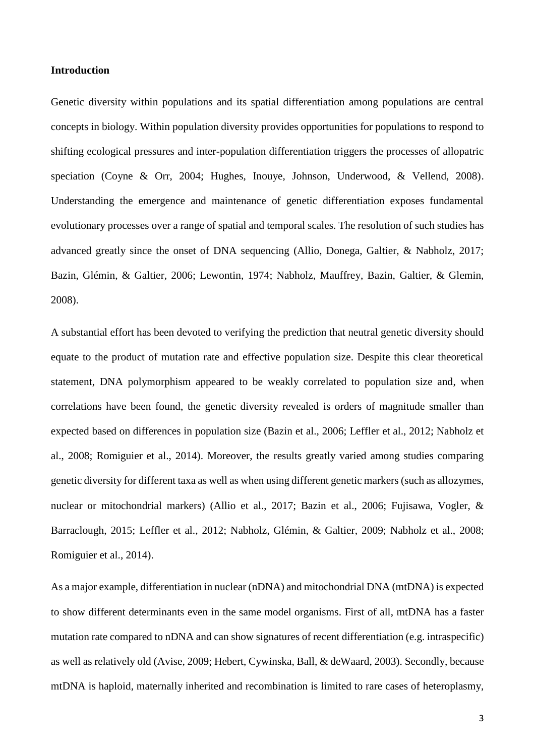### **Introduction**

Genetic diversity within populations and its spatial differentiation among populations are central concepts in biology. Within population diversity provides opportunities for populations to respond to shifting ecological pressures and inter-population differentiation triggers the processes of allopatric speciation (Coyne & Orr, 2004; Hughes, Inouye, Johnson, Underwood, & Vellend, 2008). Understanding the emergence and maintenance of genetic differentiation exposes fundamental evolutionary processes over a range of spatial and temporal scales. The resolution of such studies has advanced greatly since the onset of DNA sequencing (Allio, Donega, Galtier, & Nabholz, 2017; Bazin, Glémin, & Galtier, 2006; Lewontin, 1974; Nabholz, Mauffrey, Bazin, Galtier, & Glemin, 2008).

A substantial effort has been devoted to verifying the prediction that neutral genetic diversity should equate to the product of mutation rate and effective population size. Despite this clear theoretical statement, DNA polymorphism appeared to be weakly correlated to population size and, when correlations have been found, the genetic diversity revealed is orders of magnitude smaller than expected based on differences in population size (Bazin et al., 2006; Leffler et al., 2012; Nabholz et al., 2008; Romiguier et al., 2014). Moreover, the results greatly varied among studies comparing genetic diversity for different taxa as well as when using different genetic markers (such as allozymes, nuclear or mitochondrial markers) (Allio et al., 2017; Bazin et al., 2006; Fujisawa, Vogler, & Barraclough, 2015; Leffler et al., 2012; Nabholz, Glémin, & Galtier, 2009; Nabholz et al., 2008; Romiguier et al., 2014).

As a major example, differentiation in nuclear (nDNA) and mitochondrial DNA (mtDNA) is expected to show different determinants even in the same model organisms. First of all, mtDNA has a faster mutation rate compared to nDNA and can show signatures of recent differentiation (e.g. intraspecific) as well as relatively old (Avise, 2009; Hebert, Cywinska, Ball, & deWaard, 2003). Secondly, because mtDNA is haploid, maternally inherited and recombination is limited to rare cases of heteroplasmy,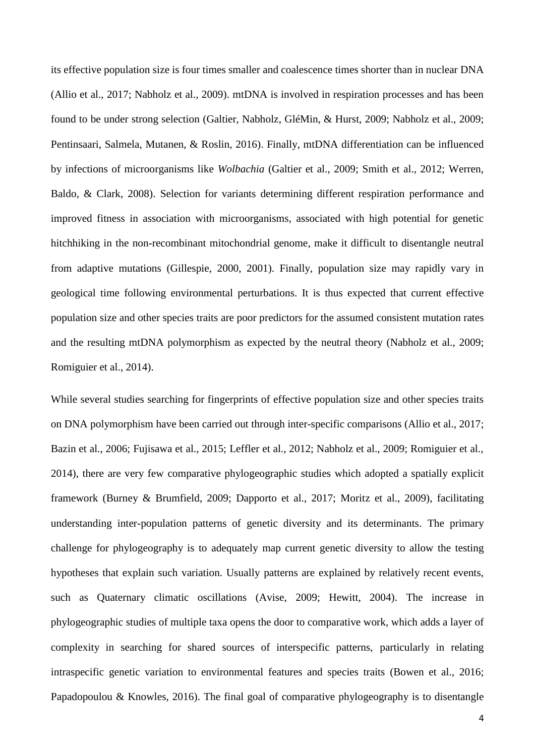its effective population size is four times smaller and coalescence times shorter than in nuclear DNA (Allio et al., 2017; Nabholz et al., 2009). mtDNA is involved in respiration processes and has been found to be under strong selection (Galtier, Nabholz, GléMin, & Hurst, 2009; Nabholz et al., 2009; Pentinsaari, Salmela, Mutanen, & Roslin, 2016). Finally, mtDNA differentiation can be influenced by infections of microorganisms like *Wolbachia* (Galtier et al., 2009; Smith et al., 2012; Werren, Baldo, & Clark, 2008). Selection for variants determining different respiration performance and improved fitness in association with microorganisms, associated with high potential for genetic hitchhiking in the non-recombinant mitochondrial genome, make it difficult to disentangle neutral from adaptive mutations (Gillespie, 2000, 2001). Finally, population size may rapidly vary in geological time following environmental perturbations. It is thus expected that current effective population size and other species traits are poor predictors for the assumed consistent mutation rates and the resulting mtDNA polymorphism as expected by the neutral theory (Nabholz et al., 2009; Romiguier et al., 2014).

While several studies searching for fingerprints of effective population size and other species traits on DNA polymorphism have been carried out through inter-specific comparisons (Allio et al., 2017; Bazin et al., 2006; Fujisawa et al., 2015; Leffler et al., 2012; Nabholz et al., 2009; Romiguier et al., 2014), there are very few comparative phylogeographic studies which adopted a spatially explicit framework (Burney & Brumfield, 2009; Dapporto et al., 2017; Moritz et al., 2009), facilitating understanding inter-population patterns of genetic diversity and its determinants. The primary challenge for phylogeography is to adequately map current genetic diversity to allow the testing hypotheses that explain such variation. Usually patterns are explained by relatively recent events, such as Quaternary climatic oscillations (Avise, 2009; Hewitt, 2004). The increase in phylogeographic studies of multiple taxa opens the door to comparative work, which adds a layer of complexity in searching for shared sources of interspecific patterns, particularly in relating intraspecific genetic variation to environmental features and species traits (Bowen et al., 2016; Papadopoulou & Knowles, 2016). The final goal of comparative phylogeography is to disentangle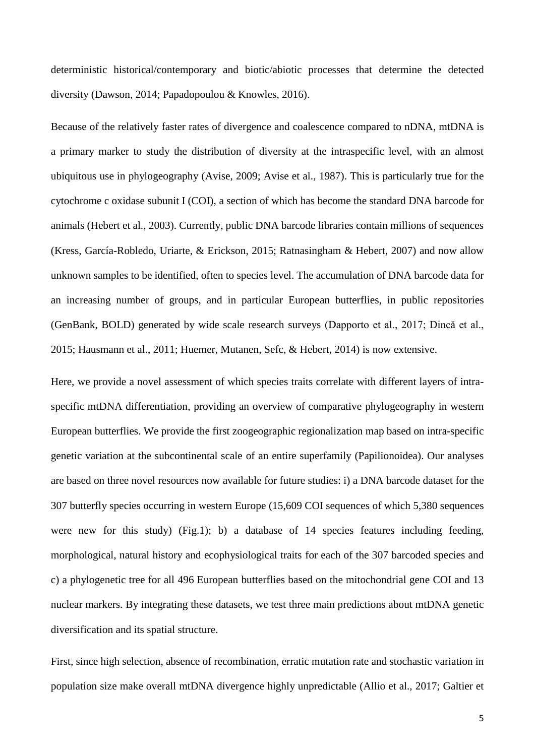deterministic historical/contemporary and biotic/abiotic processes that determine the detected diversity (Dawson, 2014; Papadopoulou & Knowles, 2016).

Because of the relatively faster rates of divergence and coalescence compared to nDNA, mtDNA is a primary marker to study the distribution of diversity at the intraspecific level, with an almost ubiquitous use in phylogeography (Avise, 2009; Avise et al., 1987). This is particularly true for the cytochrome c oxidase subunit I (COI), a section of which has become the standard DNA barcode for animals (Hebert et al., 2003). Currently, public DNA barcode libraries contain millions of sequences (Kress, García-Robledo, Uriarte, & Erickson, 2015; Ratnasingham & Hebert, 2007) and now allow unknown samples to be identified, often to species level. The accumulation of DNA barcode data for an increasing number of groups, and in particular European butterflies, in public repositories (GenBank, BOLD) generated by wide scale research surveys (Dapporto et al., 2017; Dincă et al., 2015; Hausmann et al., 2011; Huemer, Mutanen, Sefc, & Hebert, 2014) is now extensive.

Here, we provide a novel assessment of which species traits correlate with different layers of intraspecific mtDNA differentiation, providing an overview of comparative phylogeography in western European butterflies. We provide the first zoogeographic regionalization map based on intra-specific genetic variation at the subcontinental scale of an entire superfamily (Papilionoidea). Our analyses are based on three novel resources now available for future studies: i) a DNA barcode dataset for the 307 butterfly species occurring in western Europe (15,609 COI sequences of which 5,380 sequences were new for this study) (Fig.1); b) a database of 14 species features including feeding, morphological, natural history and ecophysiological traits for each of the 307 barcoded species and c) a phylogenetic tree for all 496 European butterflies based on the mitochondrial gene COI and 13 nuclear markers. By integrating these datasets, we test three main predictions about mtDNA genetic diversification and its spatial structure.

First, since high selection, absence of recombination, erratic mutation rate and stochastic variation in population size make overall mtDNA divergence highly unpredictable (Allio et al., 2017; Galtier et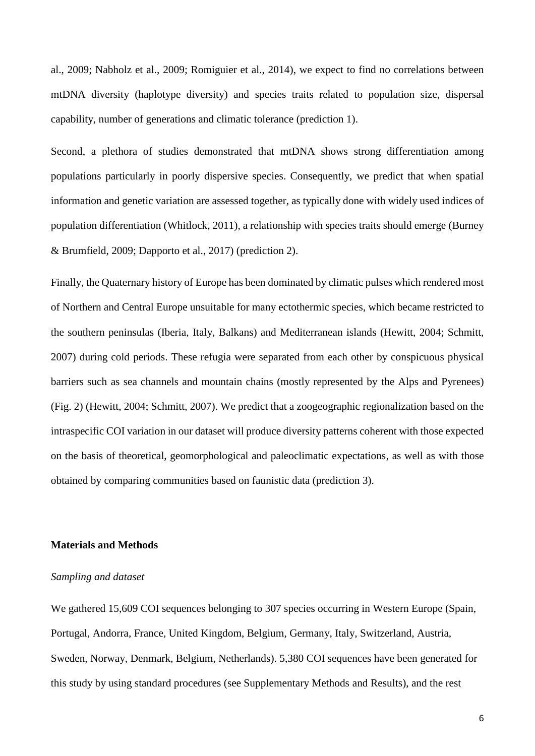al., 2009; Nabholz et al., 2009; Romiguier et al., 2014), we expect to find no correlations between mtDNA diversity (haplotype diversity) and species traits related to population size, dispersal capability, number of generations and climatic tolerance (prediction 1).

Second, a plethora of studies demonstrated that mtDNA shows strong differentiation among populations particularly in poorly dispersive species. Consequently, we predict that when spatial information and genetic variation are assessed together, as typically done with widely used indices of population differentiation (Whitlock, 2011), a relationship with species traits should emerge (Burney & Brumfield, 2009; Dapporto et al., 2017) (prediction 2).

Finally, the Quaternary history of Europe has been dominated by climatic pulses which rendered most of Northern and Central Europe unsuitable for many ectothermic species, which became restricted to the southern peninsulas (Iberia, Italy, Balkans) and Mediterranean islands (Hewitt, 2004; Schmitt, 2007) during cold periods. These refugia were separated from each other by conspicuous physical barriers such as sea channels and mountain chains (mostly represented by the Alps and Pyrenees) (Fig. 2) (Hewitt, 2004; Schmitt, 2007). We predict that a zoogeographic regionalization based on the intraspecific COI variation in our dataset will produce diversity patterns coherent with those expected on the basis of theoretical, geomorphological and paleoclimatic expectations, as well as with those obtained by comparing communities based on faunistic data (prediction 3).

## **Materials and Methods**

### *Sampling and dataset*

We gathered 15,609 COI sequences belonging to 307 species occurring in Western Europe (Spain, Portugal, Andorra, France, United Kingdom, Belgium, Germany, Italy, Switzerland, Austria, Sweden, Norway, Denmark, Belgium, Netherlands). 5,380 COI sequences have been generated for this study by using standard procedures (see Supplementary Methods and Results), and the rest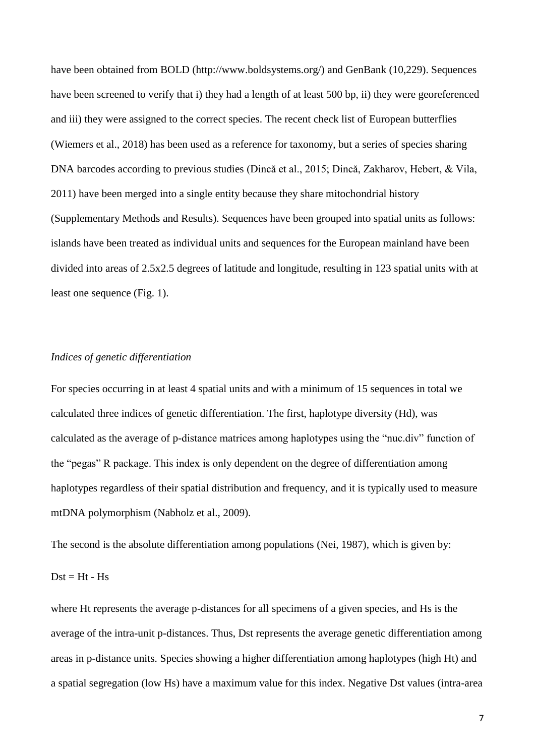have been obtained from BOLD (http://www.boldsystems.org/) and GenBank (10,229). Sequences have been screened to verify that i) they had a length of at least 500 bp, ii) they were georeferenced and iii) they were assigned to the correct species. The recent check list of European butterflies (Wiemers et al., 2018) has been used as a reference for taxonomy, but a series of species sharing DNA barcodes according to previous studies (Dincă et al., 2015; Dincă, Zakharov, Hebert, & Vila, 2011) have been merged into a single entity because they share mitochondrial history (Supplementary Methods and Results). Sequences have been grouped into spatial units as follows: islands have been treated as individual units and sequences for the European mainland have been divided into areas of 2.5x2.5 degrees of latitude and longitude, resulting in 123 spatial units with at least one sequence (Fig. 1).

### *Indices of genetic differentiation*

For species occurring in at least 4 spatial units and with a minimum of 15 sequences in total we calculated three indices of genetic differentiation. The first, haplotype diversity (Hd), was calculated as the average of p-distance matrices among haplotypes using the "nuc.div" function of the "pegas" R package. This index is only dependent on the degree of differentiation among haplotypes regardless of their spatial distribution and frequency, and it is typically used to measure mtDNA polymorphism (Nabholz et al., 2009).

The second is the absolute differentiation among populations (Nei, 1987), which is given by:

### $Dst = Ht - Hs$

where Ht represents the average p-distances for all specimens of a given species, and Hs is the average of the intra-unit p-distances. Thus, Dst represents the average genetic differentiation among areas in p-distance units. Species showing a higher differentiation among haplotypes (high Ht) and a spatial segregation (low Hs) have a maximum value for this index. Negative Dst values (intra-area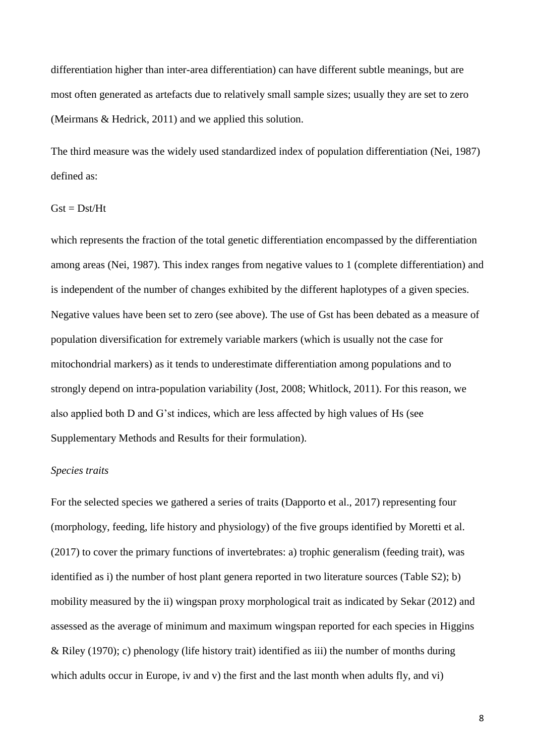differentiation higher than inter-area differentiation) can have different subtle meanings, but are most often generated as artefacts due to relatively small sample sizes; usually they are set to zero (Meirmans & Hedrick, 2011) and we applied this solution.

The third measure was the widely used standardized index of population differentiation (Nei, 1987) defined as:

#### $Gst = Dst/Ht$

which represents the fraction of the total genetic differentiation encompassed by the differentiation among areas (Nei, 1987). This index ranges from negative values to 1 (complete differentiation) and is independent of the number of changes exhibited by the different haplotypes of a given species. Negative values have been set to zero (see above). The use of Gst has been debated as a measure of population diversification for extremely variable markers (which is usually not the case for mitochondrial markers) as it tends to underestimate differentiation among populations and to strongly depend on intra-population variability (Jost, 2008; Whitlock, 2011). For this reason, we also applied both D and G'st indices, which are less affected by high values of Hs (see Supplementary Methods and Results for their formulation).

### *Species traits*

For the selected species we gathered a series of traits (Dapporto et al., 2017) representing four (morphology, feeding, life history and physiology) of the five groups identified by Moretti et al. (2017) to cover the primary functions of invertebrates: a) trophic generalism (feeding trait), was identified as i) the number of host plant genera reported in two literature sources (Table S2); b) mobility measured by the ii) wingspan proxy morphological trait as indicated by Sekar (2012) and assessed as the average of minimum and maximum wingspan reported for each species in Higgins & Riley (1970); c) phenology (life history trait) identified as iii) the number of months during which adults occur in Europe, iv and v) the first and the last month when adults fly, and vi)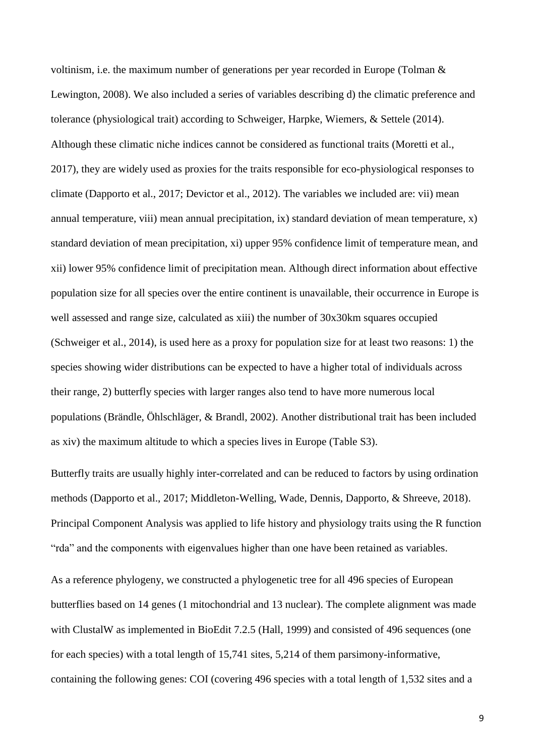voltinism, i.e. the maximum number of generations per year recorded in Europe (Tolman & Lewington, 2008). We also included a series of variables describing d) the climatic preference and tolerance (physiological trait) according to Schweiger, Harpke, Wiemers, & Settele (2014). Although these climatic niche indices cannot be considered as functional traits (Moretti et al., 2017), they are widely used as proxies for the traits responsible for eco-physiological responses to climate (Dapporto et al., 2017; Devictor et al., 2012). The variables we included are: vii) mean annual temperature, viii) mean annual precipitation, ix) standard deviation of mean temperature, x) standard deviation of mean precipitation, xi) upper 95% confidence limit of temperature mean, and xii) lower 95% confidence limit of precipitation mean. Although direct information about effective population size for all species over the entire continent is unavailable, their occurrence in Europe is well assessed and range size, calculated as xiii) the number of 30x30km squares occupied (Schweiger et al., 2014), is used here as a proxy for population size for at least two reasons: 1) the species showing wider distributions can be expected to have a higher total of individuals across their range, 2) butterfly species with larger ranges also tend to have more numerous local populations (Brändle, Öhlschläger, & Brandl, 2002). Another distributional trait has been included as xiv) the maximum altitude to which a species lives in Europe (Table S3).

Butterfly traits are usually highly inter-correlated and can be reduced to factors by using ordination methods (Dapporto et al., 2017; Middleton-Welling, Wade, Dennis, Dapporto, & Shreeve, 2018). Principal Component Analysis was applied to life history and physiology traits using the R function "rda" and the components with eigenvalues higher than one have been retained as variables.

As a reference phylogeny, we constructed a phylogenetic tree for all 496 species of European butterflies based on 14 genes (1 mitochondrial and 13 nuclear). The complete alignment was made with ClustalW as implemented in BioEdit 7.2.5 (Hall, 1999) and consisted of 496 sequences (one for each species) with a total length of 15,741 sites, 5,214 of them parsimony-informative, containing the following genes: COI (covering 496 species with a total length of 1,532 sites and a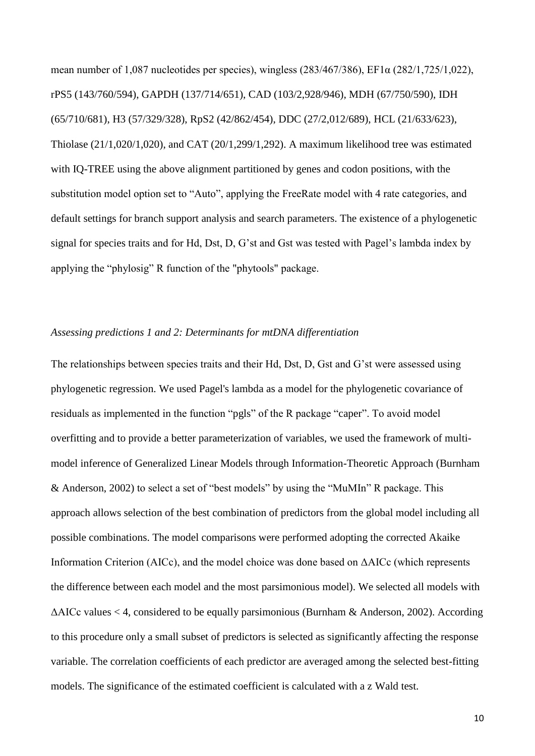mean number of 1,087 nucleotides per species), wingless (283/467/386), EF1α (282/1,725/1,022), rPS5 (143/760/594), GAPDH (137/714/651), CAD (103/2,928/946), MDH (67/750/590), IDH (65/710/681), H3 (57/329/328), RpS2 (42/862/454), DDC (27/2,012/689), HCL (21/633/623), Thiolase (21/1,020/1,020), and CAT (20/1,299/1,292). A maximum likelihood tree was estimated with IQ-TREE using the above alignment partitioned by genes and codon positions, with the substitution model option set to "Auto", applying the FreeRate model with 4 rate categories, and default settings for branch support analysis and search parameters. The existence of a phylogenetic signal for species traits and for Hd, Dst, D, G'st and Gst was tested with Pagel's lambda index by applying the "phylosig" R function of the "phytools" package.

### *Assessing predictions 1 and 2: Determinants for mtDNA differentiation*

The relationships between species traits and their Hd, Dst, D, Gst and G'st were assessed using phylogenetic regression. We used Pagel's lambda as a model for the phylogenetic covariance of residuals as implemented in the function "pgls" of the R package "caper". To avoid model overfitting and to provide a better parameterization of variables, we used the framework of multimodel inference of Generalized Linear Models through Information-Theoretic Approach (Burnham & Anderson, 2002) to select a set of "best models" by using the "MuMIn" R package. This approach allows selection of the best combination of predictors from the global model including all possible combinations. The model comparisons were performed adopting the corrected Akaike Information Criterion (AICc), and the model choice was done based on ΔAICc (which represents the difference between each model and the most parsimonious model). We selected all models with ΔAICc values < 4, considered to be equally parsimonious (Burnham & Anderson, 2002). According to this procedure only a small subset of predictors is selected as significantly affecting the response variable. The correlation coefficients of each predictor are averaged among the selected best-fitting models. The significance of the estimated coefficient is calculated with a z Wald test.

10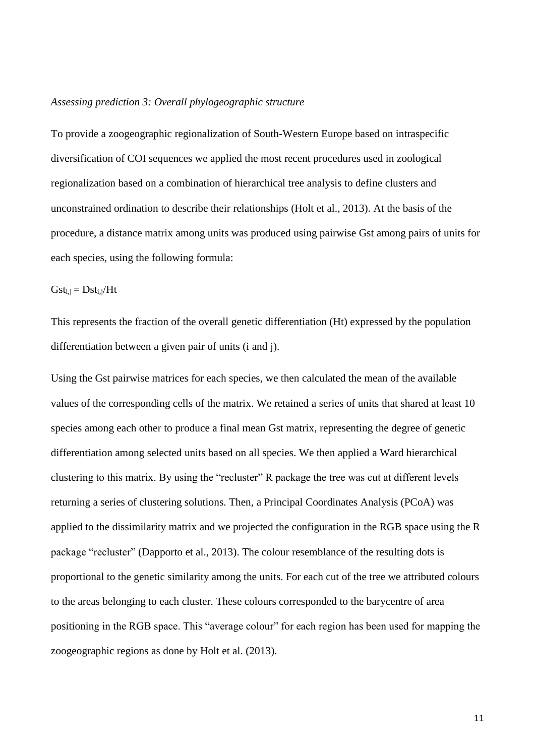#### *Assessing prediction 3: Overall phylogeographic structure*

To provide a zoogeographic regionalization of South-Western Europe based on intraspecific diversification of COI sequences we applied the most recent procedures used in zoological regionalization based on a combination of hierarchical tree analysis to define clusters and unconstrained ordination to describe their relationships (Holt et al., 2013). At the basis of the procedure, a distance matrix among units was produced using pairwise Gst among pairs of units for each species, using the following formula:

 $Gst_{i,i} = Dst_{i,i}/Ht$ 

This represents the fraction of the overall genetic differentiation (Ht) expressed by the population differentiation between a given pair of units (i and j).

Using the Gst pairwise matrices for each species, we then calculated the mean of the available values of the corresponding cells of the matrix. We retained a series of units that shared at least 10 species among each other to produce a final mean Gst matrix, representing the degree of genetic differentiation among selected units based on all species. We then applied a Ward hierarchical clustering to this matrix. By using the "recluster" R package the tree was cut at different levels returning a series of clustering solutions. Then, a Principal Coordinates Analysis (PCoA) was applied to the dissimilarity matrix and we projected the configuration in the RGB space using the R package "recluster" (Dapporto et al., 2013). The colour resemblance of the resulting dots is proportional to the genetic similarity among the units. For each cut of the tree we attributed colours to the areas belonging to each cluster. These colours corresponded to the barycentre of area positioning in the RGB space. This "average colour" for each region has been used for mapping the zoogeographic regions as done by Holt et al. (2013).

11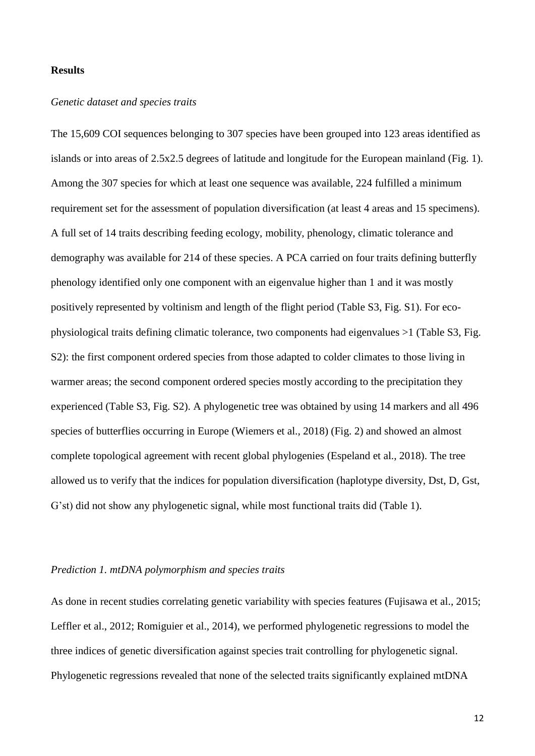### **Results**

#### *Genetic dataset and species traits*

The 15,609 COI sequences belonging to 307 species have been grouped into 123 areas identified as islands or into areas of 2.5x2.5 degrees of latitude and longitude for the European mainland (Fig. 1). Among the 307 species for which at least one sequence was available, 224 fulfilled a minimum requirement set for the assessment of population diversification (at least 4 areas and 15 specimens). A full set of 14 traits describing feeding ecology, mobility, phenology, climatic tolerance and demography was available for 214 of these species. A PCA carried on four traits defining butterfly phenology identified only one component with an eigenvalue higher than 1 and it was mostly positively represented by voltinism and length of the flight period (Table S3, Fig. S1). For ecophysiological traits defining climatic tolerance, two components had eigenvalues >1 (Table S3, Fig. S2): the first component ordered species from those adapted to colder climates to those living in warmer areas; the second component ordered species mostly according to the precipitation they experienced (Table S3, Fig. S2). A phylogenetic tree was obtained by using 14 markers and all 496 species of butterflies occurring in Europe (Wiemers et al., 2018) (Fig. 2) and showed an almost complete topological agreement with recent global phylogenies (Espeland et al., 2018). The tree allowed us to verify that the indices for population diversification (haplotype diversity, Dst, D, Gst, G'st) did not show any phylogenetic signal, while most functional traits did (Table 1).

### *Prediction 1. mtDNA polymorphism and species traits*

As done in recent studies correlating genetic variability with species features (Fujisawa et al., 2015; Leffler et al., 2012; Romiguier et al., 2014), we performed phylogenetic regressions to model the three indices of genetic diversification against species trait controlling for phylogenetic signal. Phylogenetic regressions revealed that none of the selected traits significantly explained mtDNA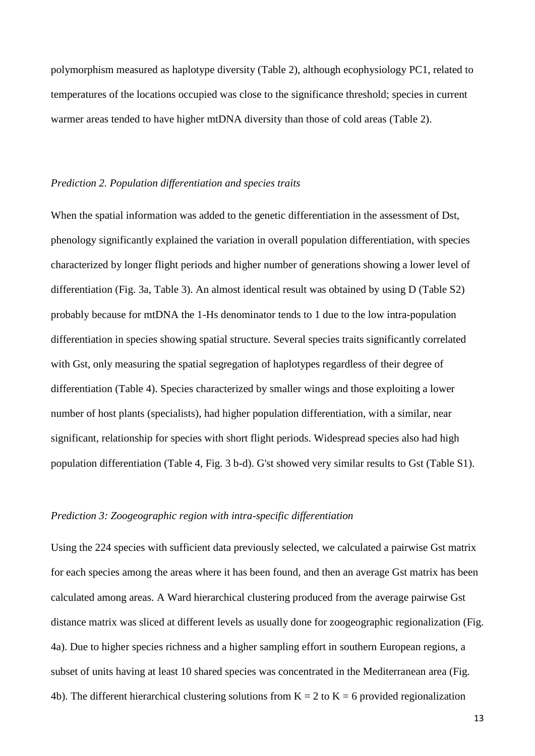polymorphism measured as haplotype diversity (Table 2), although ecophysiology PC1, related to temperatures of the locations occupied was close to the significance threshold; species in current warmer areas tended to have higher mtDNA diversity than those of cold areas (Table 2).

#### *Prediction 2. Population differentiation and species traits*

When the spatial information was added to the genetic differentiation in the assessment of Dst, phenology significantly explained the variation in overall population differentiation, with species characterized by longer flight periods and higher number of generations showing a lower level of differentiation (Fig. 3a, Table 3). An almost identical result was obtained by using D (Table S2) probably because for mtDNA the 1-Hs denominator tends to 1 due to the low intra-population differentiation in species showing spatial structure. Several species traits significantly correlated with Gst, only measuring the spatial segregation of haplotypes regardless of their degree of differentiation (Table 4). Species characterized by smaller wings and those exploiting a lower number of host plants (specialists), had higher population differentiation, with a similar, near significant, relationship for species with short flight periods. Widespread species also had high population differentiation (Table 4, Fig. 3 b-d). G'st showed very similar results to Gst (Table S1).

#### *Prediction 3: Zoogeographic region with intra-specific differentiation*

Using the 224 species with sufficient data previously selected, we calculated a pairwise Gst matrix for each species among the areas where it has been found, and then an average Gst matrix has been calculated among areas. A Ward hierarchical clustering produced from the average pairwise Gst distance matrix was sliced at different levels as usually done for zoogeographic regionalization (Fig. 4a). Due to higher species richness and a higher sampling effort in southern European regions, a subset of units having at least 10 shared species was concentrated in the Mediterranean area (Fig. 4b). The different hierarchical clustering solutions from  $K = 2$  to  $K = 6$  provided regionalization

13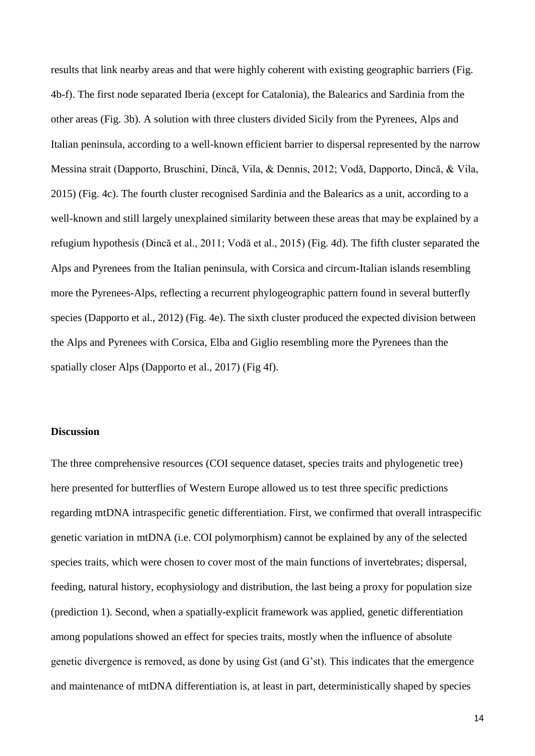results that link nearby areas and that were highly coherent with existing geographic barriers (Fig. 4b-f). The first node separated Iberia (except for Catalonia), the Balearics and Sardinia from the other areas (Fig. 3b). A solution with three clusters divided Sicily from the Pyrenees, Alps and Italian peninsula, according to a well-known efficient barrier to dispersal represented by the narrow Messina strait (Dapporto, Bruschini, Dincă, Vila, & Dennis, 2012; Vodă, Dapporto, Dincă, & Vila, 2015) (Fig. 4c). The fourth cluster recognised Sardinia and the Balearics as a unit, according to a well-known and still largely unexplained similarity between these areas that may be explained by a refugium hypothesis (Dincă et al., 2011; Vodă et al., 2015) (Fig. 4d). The fifth cluster separated the Alps and Pyrenees from the Italian peninsula, with Corsica and circum-Italian islands resembling more the Pyrenees-Alps, reflecting a recurrent phylogeographic pattern found in several butterfly species (Dapporto et al., 2012) (Fig. 4e). The sixth cluster produced the expected division between the Alps and Pyrenees with Corsica, Elba and Giglio resembling more the Pyrenees than the spatially closer Alps (Dapporto et al., 2017) (Fig 4f).

### **Discussion**

The three comprehensive resources (COI sequence dataset, species traits and phylogenetic tree) here presented for butterflies of Western Europe allowed us to test three specific predictions regarding mtDNA intraspecific genetic differentiation. First, we confirmed that overall intraspecific genetic variation in mtDNA (i.e. COI polymorphism) cannot be explained by any of the selected species traits, which were chosen to cover most of the main functions of invertebrates; dispersal, feeding, natural history, ecophysiology and distribution, the last being a proxy for population size (prediction 1). Second, when a spatially-explicit framework was applied, genetic differentiation among populations showed an effect for species traits, mostly when the influence of absolute genetic divergence is removed, as done by using Gst (and G'st). This indicates that the emergence and maintenance of mtDNA differentiation is, at least in part, deterministically shaped by species

14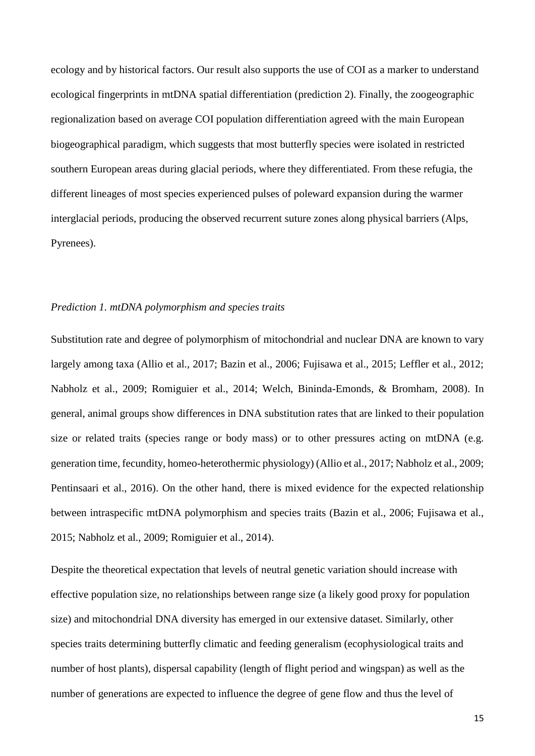ecology and by historical factors. Our result also supports the use of COI as a marker to understand ecological fingerprints in mtDNA spatial differentiation (prediction 2). Finally, the zoogeographic regionalization based on average COI population differentiation agreed with the main European biogeographical paradigm, which suggests that most butterfly species were isolated in restricted southern European areas during glacial periods, where they differentiated. From these refugia, the different lineages of most species experienced pulses of poleward expansion during the warmer interglacial periods, producing the observed recurrent suture zones along physical barriers (Alps, Pyrenees).

### *Prediction 1. mtDNA polymorphism and species traits*

Substitution rate and degree of polymorphism of mitochondrial and nuclear DNA are known to vary largely among taxa (Allio et al., 2017; Bazin et al., 2006; Fujisawa et al., 2015; Leffler et al., 2012; Nabholz et al., 2009; Romiguier et al., 2014; Welch, Bininda-Emonds, & Bromham, 2008). In general, animal groups show differences in DNA substitution rates that are linked to their population size or related traits (species range or body mass) or to other pressures acting on mtDNA (e.g. generation time, fecundity, homeo-heterothermic physiology) (Allio et al., 2017; Nabholz et al., 2009; Pentinsaari et al., 2016). On the other hand, there is mixed evidence for the expected relationship between intraspecific mtDNA polymorphism and species traits (Bazin et al., 2006; Fujisawa et al., 2015; Nabholz et al., 2009; Romiguier et al., 2014).

Despite the theoretical expectation that levels of neutral genetic variation should increase with effective population size, no relationships between range size (a likely good proxy for population size) and mitochondrial DNA diversity has emerged in our extensive dataset. Similarly, other species traits determining butterfly climatic and feeding generalism (ecophysiological traits and number of host plants), dispersal capability (length of flight period and wingspan) as well as the number of generations are expected to influence the degree of gene flow and thus the level of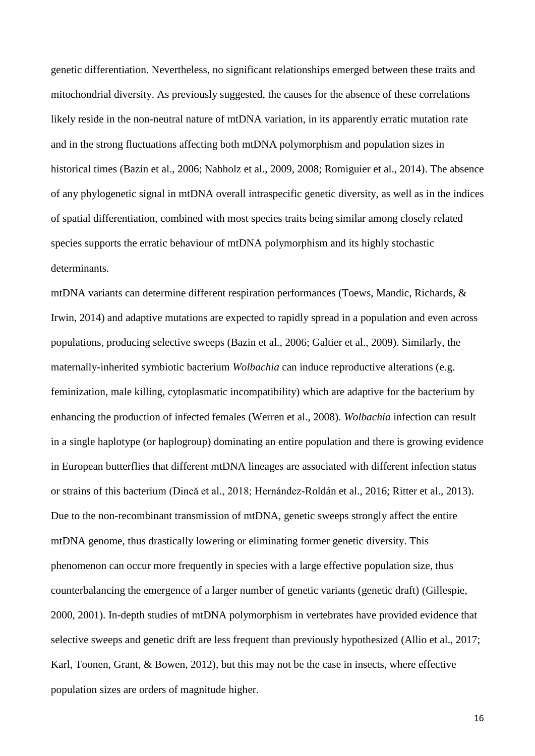genetic differentiation. Nevertheless, no significant relationships emerged between these traits and mitochondrial diversity. As previously suggested, the causes for the absence of these correlations likely reside in the non-neutral nature of mtDNA variation, in its apparently erratic mutation rate and in the strong fluctuations affecting both mtDNA polymorphism and population sizes in historical times (Bazin et al., 2006; Nabholz et al., 2009, 2008; Romiguier et al., 2014). The absence of any phylogenetic signal in mtDNA overall intraspecific genetic diversity, as well as in the indices of spatial differentiation, combined with most species traits being similar among closely related species supports the erratic behaviour of mtDNA polymorphism and its highly stochastic determinants.

mtDNA variants can determine different respiration performances (Toews, Mandic, Richards, & Irwin, 2014) and adaptive mutations are expected to rapidly spread in a population and even across populations, producing selective sweeps (Bazin et al., 2006; Galtier et al., 2009). Similarly, the maternally-inherited symbiotic bacterium *Wolbachia* can induce reproductive alterations (e.g. feminization, male killing, cytoplasmatic incompatibility) which are adaptive for the bacterium by enhancing the production of infected females (Werren et al., 2008). *Wolbachia* infection can result in a single haplotype (or haplogroup) dominating an entire population and there is growing evidence in European butterflies that different mtDNA lineages are associated with different infection status or strains of this bacterium (Dincă et al., 2018; Hernández-Roldán et al., 2016; Ritter et al., 2013). Due to the non-recombinant transmission of mtDNA, genetic sweeps strongly affect the entire mtDNA genome, thus drastically lowering or eliminating former genetic diversity. This phenomenon can occur more frequently in species with a large effective population size, thus counterbalancing the emergence of a larger number of genetic variants (genetic draft) (Gillespie, 2000, 2001). In-depth studies of mtDNA polymorphism in vertebrates have provided evidence that selective sweeps and genetic drift are less frequent than previously hypothesized (Allio et al., 2017; Karl, Toonen, Grant, & Bowen, 2012), but this may not be the case in insects, where effective population sizes are orders of magnitude higher.

16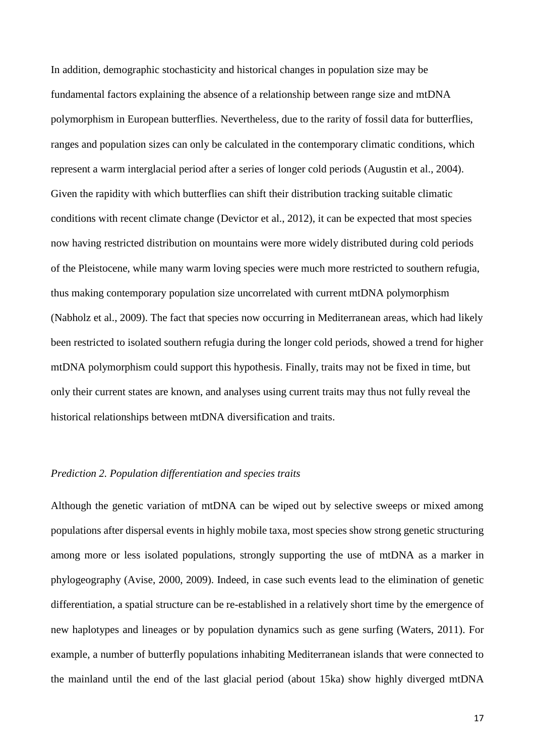In addition, demographic stochasticity and historical changes in population size may be fundamental factors explaining the absence of a relationship between range size and mtDNA polymorphism in European butterflies. Nevertheless, due to the rarity of fossil data for butterflies, ranges and population sizes can only be calculated in the contemporary climatic conditions, which represent a warm interglacial period after a series of longer cold periods (Augustin et al., 2004). Given the rapidity with which butterflies can shift their distribution tracking suitable climatic conditions with recent climate change (Devictor et al., 2012), it can be expected that most species now having restricted distribution on mountains were more widely distributed during cold periods of the Pleistocene, while many warm loving species were much more restricted to southern refugia, thus making contemporary population size uncorrelated with current mtDNA polymorphism (Nabholz et al., 2009). The fact that species now occurring in Mediterranean areas, which had likely been restricted to isolated southern refugia during the longer cold periods, showed a trend for higher mtDNA polymorphism could support this hypothesis. Finally, traits may not be fixed in time, but only their current states are known, and analyses using current traits may thus not fully reveal the historical relationships between mtDNA diversification and traits.

## *Prediction 2. Population differentiation and species traits*

Although the genetic variation of mtDNA can be wiped out by selective sweeps or mixed among populations after dispersal events in highly mobile taxa, most species show strong genetic structuring among more or less isolated populations, strongly supporting the use of mtDNA as a marker in phylogeography (Avise, 2000, 2009). Indeed, in case such events lead to the elimination of genetic differentiation, a spatial structure can be re-established in a relatively short time by the emergence of new haplotypes and lineages or by population dynamics such as gene surfing (Waters, 2011). For example, a number of butterfly populations inhabiting Mediterranean islands that were connected to the mainland until the end of the last glacial period (about 15ka) show highly diverged mtDNA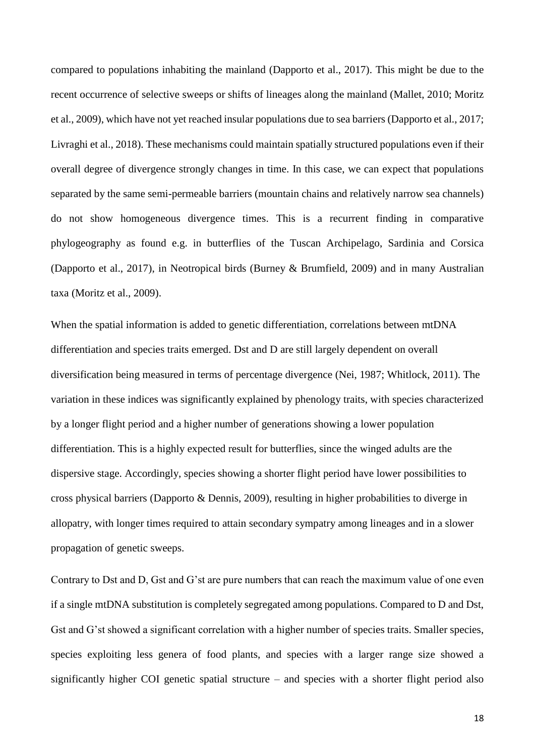compared to populations inhabiting the mainland (Dapporto et al., 2017). This might be due to the recent occurrence of selective sweeps or shifts of lineages along the mainland (Mallet, 2010; Moritz et al., 2009), which have not yet reached insular populations due to sea barriers (Dapporto et al., 2017; Livraghi et al., 2018). These mechanisms could maintain spatially structured populations even if their overall degree of divergence strongly changes in time. In this case, we can expect that populations separated by the same semi-permeable barriers (mountain chains and relatively narrow sea channels) do not show homogeneous divergence times. This is a recurrent finding in comparative phylogeography as found e.g. in butterflies of the Tuscan Archipelago, Sardinia and Corsica (Dapporto et al., 2017), in Neotropical birds (Burney & Brumfield, 2009) and in many Australian taxa (Moritz et al., 2009).

When the spatial information is added to genetic differentiation, correlations between mtDNA differentiation and species traits emerged. Dst and D are still largely dependent on overall diversification being measured in terms of percentage divergence (Nei, 1987; Whitlock, 2011). The variation in these indices was significantly explained by phenology traits, with species characterized by a longer flight period and a higher number of generations showing a lower population differentiation. This is a highly expected result for butterflies, since the winged adults are the dispersive stage. Accordingly, species showing a shorter flight period have lower possibilities to cross physical barriers (Dapporto & Dennis, 2009), resulting in higher probabilities to diverge in allopatry, with longer times required to attain secondary sympatry among lineages and in a slower propagation of genetic sweeps.

Contrary to Dst and D, Gst and G'st are pure numbers that can reach the maximum value of one even if a single mtDNA substitution is completely segregated among populations. Compared to D and Dst, Gst and G'st showed a significant correlation with a higher number of species traits. Smaller species, species exploiting less genera of food plants, and species with a larger range size showed a significantly higher COI genetic spatial structure – and species with a shorter flight period also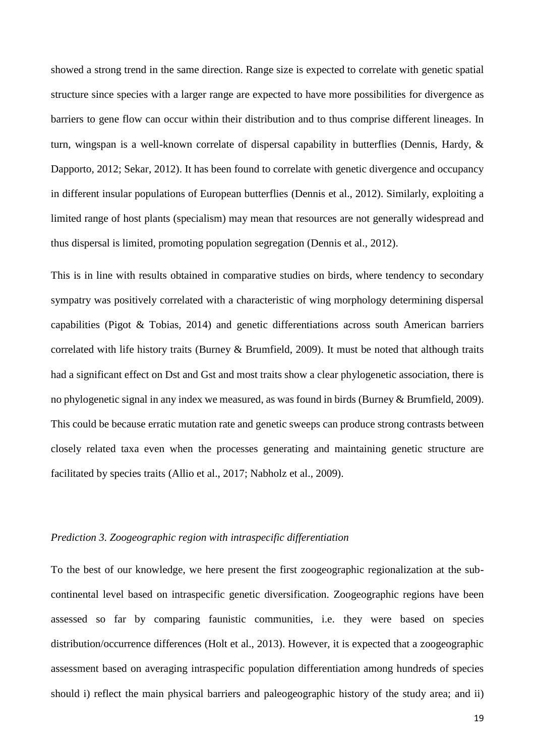showed a strong trend in the same direction. Range size is expected to correlate with genetic spatial structure since species with a larger range are expected to have more possibilities for divergence as barriers to gene flow can occur within their distribution and to thus comprise different lineages. In turn, wingspan is a well-known correlate of dispersal capability in butterflies (Dennis, Hardy, & Dapporto, 2012; Sekar, 2012). It has been found to correlate with genetic divergence and occupancy in different insular populations of European butterflies (Dennis et al., 2012). Similarly, exploiting a limited range of host plants (specialism) may mean that resources are not generally widespread and thus dispersal is limited, promoting population segregation (Dennis et al., 2012).

This is in line with results obtained in comparative studies on birds, where tendency to secondary sympatry was positively correlated with a characteristic of wing morphology determining dispersal capabilities (Pigot & Tobias, 2014) and genetic differentiations across south American barriers correlated with life history traits (Burney & Brumfield, 2009). It must be noted that although traits had a significant effect on Dst and Gst and most traits show a clear phylogenetic association, there is no phylogenetic signal in any index we measured, as was found in birds (Burney & Brumfield, 2009). This could be because erratic mutation rate and genetic sweeps can produce strong contrasts between closely related taxa even when the processes generating and maintaining genetic structure are facilitated by species traits (Allio et al., 2017; Nabholz et al., 2009).

# *Prediction 3. Zoogeographic region with intraspecific differentiation*

To the best of our knowledge, we here present the first zoogeographic regionalization at the subcontinental level based on intraspecific genetic diversification. Zoogeographic regions have been assessed so far by comparing faunistic communities, i.e. they were based on species distribution/occurrence differences (Holt et al., 2013). However, it is expected that a zoogeographic assessment based on averaging intraspecific population differentiation among hundreds of species should i) reflect the main physical barriers and paleogeographic history of the study area; and ii)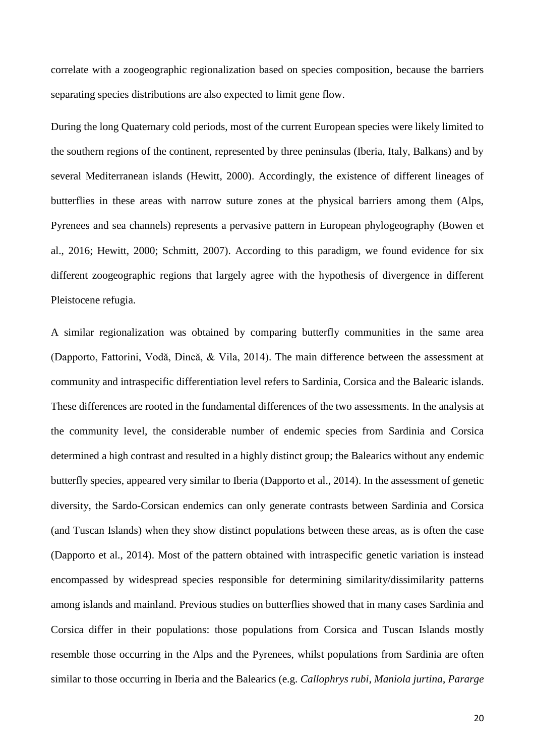correlate with a zoogeographic regionalization based on species composition, because the barriers separating species distributions are also expected to limit gene flow.

During the long Quaternary cold periods, most of the current European species were likely limited to the southern regions of the continent, represented by three peninsulas (Iberia, Italy, Balkans) and by several Mediterranean islands (Hewitt, 2000). Accordingly, the existence of different lineages of butterflies in these areas with narrow suture zones at the physical barriers among them (Alps, Pyrenees and sea channels) represents a pervasive pattern in European phylogeography (Bowen et al., 2016; Hewitt, 2000; Schmitt, 2007). According to this paradigm, we found evidence for six different zoogeographic regions that largely agree with the hypothesis of divergence in different Pleistocene refugia.

A similar regionalization was obtained by comparing butterfly communities in the same area (Dapporto, Fattorini, Vodă, Dincă, & Vila, 2014). The main difference between the assessment at community and intraspecific differentiation level refers to Sardinia, Corsica and the Balearic islands. These differences are rooted in the fundamental differences of the two assessments. In the analysis at the community level, the considerable number of endemic species from Sardinia and Corsica determined a high contrast and resulted in a highly distinct group; the Balearics without any endemic butterfly species, appeared very similar to Iberia (Dapporto et al., 2014). In the assessment of genetic diversity, the Sardo-Corsican endemics can only generate contrasts between Sardinia and Corsica (and Tuscan Islands) when they show distinct populations between these areas, as is often the case (Dapporto et al., 2014). Most of the pattern obtained with intraspecific genetic variation is instead encompassed by widespread species responsible for determining similarity/dissimilarity patterns among islands and mainland. Previous studies on butterflies showed that in many cases Sardinia and Corsica differ in their populations: those populations from Corsica and Tuscan Islands mostly resemble those occurring in the Alps and the Pyrenees, whilst populations from Sardinia are often similar to those occurring in Iberia and the Balearics (e.g. *Callophrys rubi*, *Maniola jurtina*, *Pararge*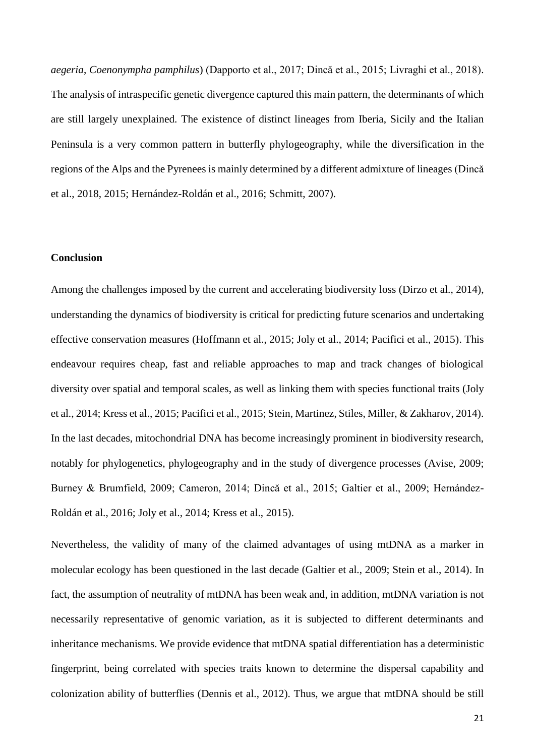*aegeria*, *Coenonympha pamphilus*) (Dapporto et al., 2017; Dincă et al., 2015; Livraghi et al., 2018). The analysis of intraspecific genetic divergence captured this main pattern, the determinants of which are still largely unexplained. The existence of distinct lineages from Iberia, Sicily and the Italian Peninsula is a very common pattern in butterfly phylogeography, while the diversification in the regions of the Alps and the Pyrenees is mainly determined by a different admixture of lineages (Dincă et al., 2018, 2015; Hernández-Roldán et al., 2016; Schmitt, 2007).

#### **Conclusion**

Among the challenges imposed by the current and accelerating biodiversity loss (Dirzo et al., 2014), understanding the dynamics of biodiversity is critical for predicting future scenarios and undertaking effective conservation measures (Hoffmann et al., 2015; Joly et al., 2014; Pacifici et al., 2015). This endeavour requires cheap, fast and reliable approaches to map and track changes of biological diversity over spatial and temporal scales, as well as linking them with species functional traits (Joly et al., 2014; Kress et al., 2015; Pacifici et al., 2015; Stein, Martinez, Stiles, Miller, & Zakharov, 2014). In the last decades, mitochondrial DNA has become increasingly prominent in biodiversity research, notably for phylogenetics, phylogeography and in the study of divergence processes (Avise, 2009; Burney & Brumfield, 2009; Cameron, 2014; Dincă et al., 2015; Galtier et al., 2009; Hernández-Roldán et al., 2016; Joly et al., 2014; Kress et al., 2015).

Nevertheless, the validity of many of the claimed advantages of using mtDNA as a marker in molecular ecology has been questioned in the last decade (Galtier et al., 2009; Stein et al., 2014). In fact, the assumption of neutrality of mtDNA has been weak and, in addition, mtDNA variation is not necessarily representative of genomic variation, as it is subjected to different determinants and inheritance mechanisms. We provide evidence that mtDNA spatial differentiation has a deterministic fingerprint, being correlated with species traits known to determine the dispersal capability and colonization ability of butterflies (Dennis et al., 2012). Thus, we argue that mtDNA should be still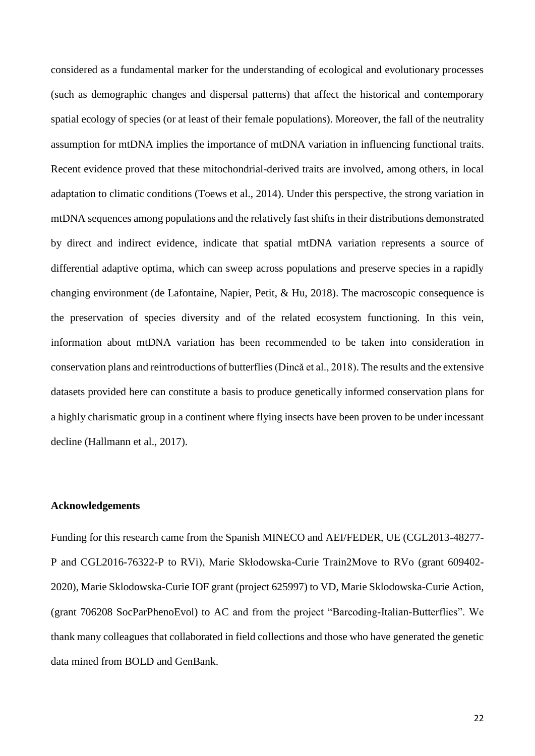considered as a fundamental marker for the understanding of ecological and evolutionary processes (such as demographic changes and dispersal patterns) that affect the historical and contemporary spatial ecology of species (or at least of their female populations). Moreover, the fall of the neutrality assumption for mtDNA implies the importance of mtDNA variation in influencing functional traits. Recent evidence proved that these mitochondrial-derived traits are involved, among others, in local adaptation to climatic conditions (Toews et al., 2014). Under this perspective, the strong variation in mtDNA sequences among populations and the relatively fast shifts in their distributions demonstrated by direct and indirect evidence, indicate that spatial mtDNA variation represents a source of differential adaptive optima, which can sweep across populations and preserve species in a rapidly changing environment (de Lafontaine, Napier, Petit, & Hu, 2018). The macroscopic consequence is the preservation of species diversity and of the related ecosystem functioning. In this vein, information about mtDNA variation has been recommended to be taken into consideration in conservation plans and reintroductions of butterflies (Dincă et al., 2018). The results and the extensive datasets provided here can constitute a basis to produce genetically informed conservation plans for a highly charismatic group in a continent where flying insects have been proven to be under incessant decline (Hallmann et al., 2017).

## **Acknowledgements**

Funding for this research came from the Spanish MINECO and AEI/FEDER, UE (CGL2013-48277- P and CGL2016-76322-P to RVi), Marie Skłodowska-Curie Train2Move to RVo (grant 609402- 2020), Marie Sklodowska-Curie IOF grant (project 625997) to VD, Marie Sklodowska-Curie Action, (grant 706208 SocParPhenoEvol) to AC and from the project "Barcoding-Italian-Butterflies". We thank many colleagues that collaborated in field collections and those who have generated the genetic data mined from BOLD and GenBank.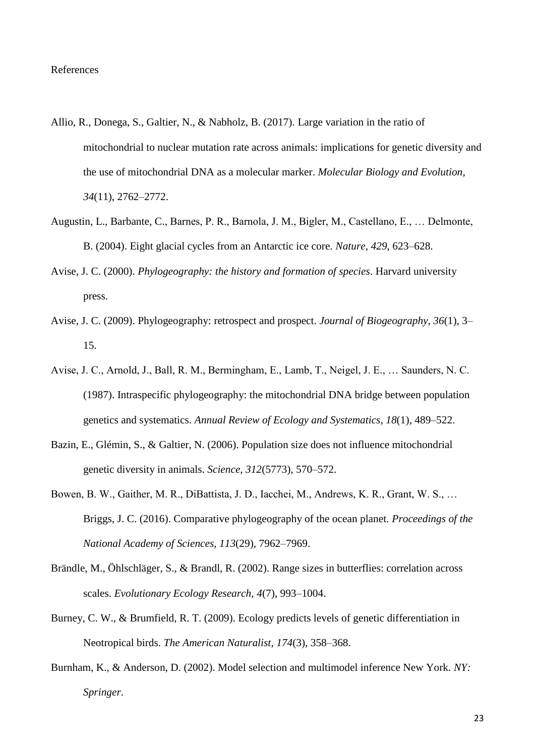- Allio, R., Donega, S., Galtier, N., & Nabholz, B. (2017). Large variation in the ratio of mitochondrial to nuclear mutation rate across animals: implications for genetic diversity and the use of mitochondrial DNA as a molecular marker. *Molecular Biology and Evolution*, *34*(11), 2762–2772.
- Augustin, L., Barbante, C., Barnes, P. R., Barnola, J. M., Bigler, M., Castellano, E., … Delmonte, B. (2004). Eight glacial cycles from an Antarctic ice core. *Nature*, *429*, 623–628.
- Avise, J. C. (2000). *Phylogeography: the history and formation of species*. Harvard university press.
- Avise, J. C. (2009). Phylogeography: retrospect and prospect. *Journal of Biogeography*, *36*(1), 3– 15.
- Avise, J. C., Arnold, J., Ball, R. M., Bermingham, E., Lamb, T., Neigel, J. E., … Saunders, N. C. (1987). Intraspecific phylogeography: the mitochondrial DNA bridge between population genetics and systematics. *Annual Review of Ecology and Systematics*, *18*(1), 489–522.
- Bazin, E., Glémin, S., & Galtier, N. (2006). Population size does not influence mitochondrial genetic diversity in animals. *Science*, *312*(5773), 570–572.
- Bowen, B. W., Gaither, M. R., DiBattista, J. D., Iacchei, M., Andrews, K. R., Grant, W. S., … Briggs, J. C. (2016). Comparative phylogeography of the ocean planet. *Proceedings of the National Academy of Sciences*, *113*(29), 7962–7969.
- Brändle, M., Öhlschläger, S., & Brandl, R. (2002). Range sizes in butterflies: correlation across scales. *Evolutionary Ecology Research*, *4*(7), 993–1004.
- Burney, C. W., & Brumfield, R. T. (2009). Ecology predicts levels of genetic differentiation in Neotropical birds. *The American Naturalist*, *174*(3), 358–368.
- Burnham, K., & Anderson, D. (2002). Model selection and multimodel inference New York. *NY: Springer*.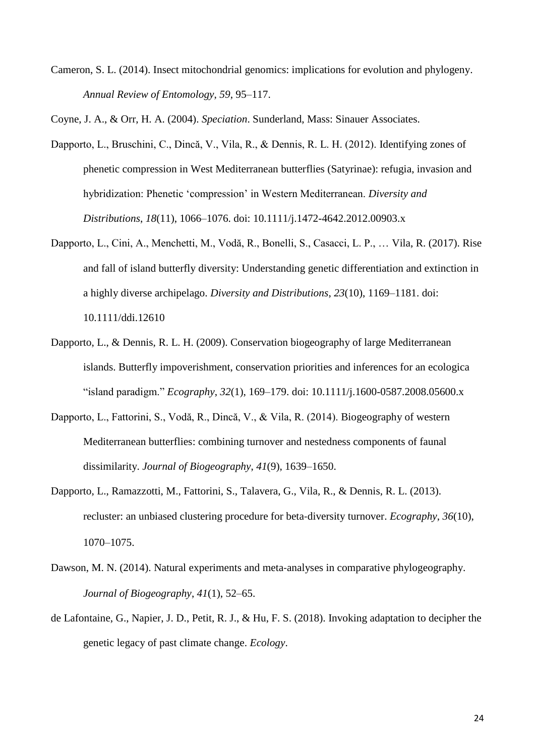Cameron, S. L. (2014). Insect mitochondrial genomics: implications for evolution and phylogeny. *Annual Review of Entomology*, *59*, 95–117.

Coyne, J. A., & Orr, H. A. (2004). *Speciation*. Sunderland, Mass: Sinauer Associates.

- Dapporto, L., Bruschini, C., Dincă, V., Vila, R., & Dennis, R. L. H. (2012). Identifying zones of phenetic compression in West Mediterranean butterflies (Satyrinae): refugia, invasion and hybridization: Phenetic 'compression' in Western Mediterranean. *Diversity and Distributions*, *18*(11), 1066–1076. doi: 10.1111/j.1472-4642.2012.00903.x
- Dapporto, L., Cini, A., Menchetti, M., Vodă, R., Bonelli, S., Casacci, L. P., … Vila, R. (2017). Rise and fall of island butterfly diversity: Understanding genetic differentiation and extinction in a highly diverse archipelago. *Diversity and Distributions*, *23*(10), 1169–1181. doi: 10.1111/ddi.12610
- Dapporto, L., & Dennis, R. L. H. (2009). Conservation biogeography of large Mediterranean islands. Butterfly impoverishment, conservation priorities and inferences for an ecologica "island paradigm." *Ecography*, *32*(1), 169–179. doi: 10.1111/j.1600-0587.2008.05600.x
- Dapporto, L., Fattorini, S., Vodă, R., Dincă, V., & Vila, R. (2014). Biogeography of western Mediterranean butterflies: combining turnover and nestedness components of faunal dissimilarity. *Journal of Biogeography*, *41*(9), 1639–1650.
- Dapporto, L., Ramazzotti, M., Fattorini, S., Talavera, G., Vila, R., & Dennis, R. L. (2013). recluster: an unbiased clustering procedure for beta‐diversity turnover. *Ecography*, *36*(10), 1070–1075.
- Dawson, M. N. (2014). Natural experiments and meta-analyses in comparative phylogeography. *Journal of Biogeography*, *41*(1), 52–65.
- de Lafontaine, G., Napier, J. D., Petit, R. J., & Hu, F. S. (2018). Invoking adaptation to decipher the genetic legacy of past climate change. *Ecology*.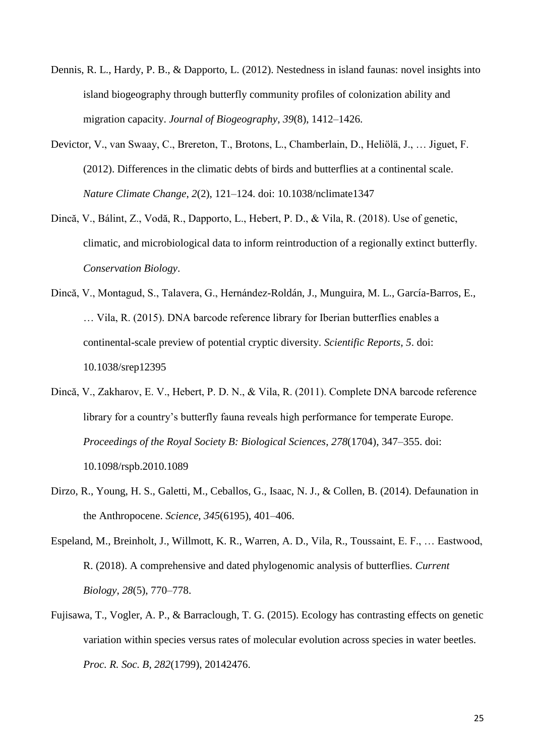- Dennis, R. L., Hardy, P. B., & Dapporto, L. (2012). Nestedness in island faunas: novel insights into island biogeography through butterfly community profiles of colonization ability and migration capacity. *Journal of Biogeography*, *39*(8), 1412–1426.
- Devictor, V., van Swaay, C., Brereton, T., Brotons, L., Chamberlain, D., Heliölä, J., … Jiguet, F. (2012). Differences in the climatic debts of birds and butterflies at a continental scale. *Nature Climate Change*, *2*(2), 121–124. doi: 10.1038/nclimate1347
- Dincă, V., Bálint, Z., Vodă, R., Dapporto, L., Hebert, P. D., & Vila, R. (2018). Use of genetic, climatic, and microbiological data to inform reintroduction of a regionally extinct butterfly. *Conservation Biology*.
- Dincă, V., Montagud, S., Talavera, G., Hernández-Roldán, J., Munguira, M. L., García-Barros, E., … Vila, R. (2015). DNA barcode reference library for Iberian butterflies enables a continental-scale preview of potential cryptic diversity. *Scientific Reports*, *5*. doi: 10.1038/srep12395
- Dincă, V., Zakharov, E. V., Hebert, P. D. N., & Vila, R. (2011). Complete DNA barcode reference library for a country's butterfly fauna reveals high performance for temperate Europe. *Proceedings of the Royal Society B: Biological Sciences*, *278*(1704), 347–355. doi: 10.1098/rspb.2010.1089
- Dirzo, R., Young, H. S., Galetti, M., Ceballos, G., Isaac, N. J., & Collen, B. (2014). Defaunation in the Anthropocene. *Science*, *345*(6195), 401–406.
- Espeland, M., Breinholt, J., Willmott, K. R., Warren, A. D., Vila, R., Toussaint, E. F., … Eastwood, R. (2018). A comprehensive and dated phylogenomic analysis of butterflies. *Current Biology*, *28*(5), 770–778.
- Fujisawa, T., Vogler, A. P., & Barraclough, T. G. (2015). Ecology has contrasting effects on genetic variation within species versus rates of molecular evolution across species in water beetles. *Proc. R. Soc. B*, *282*(1799), 20142476.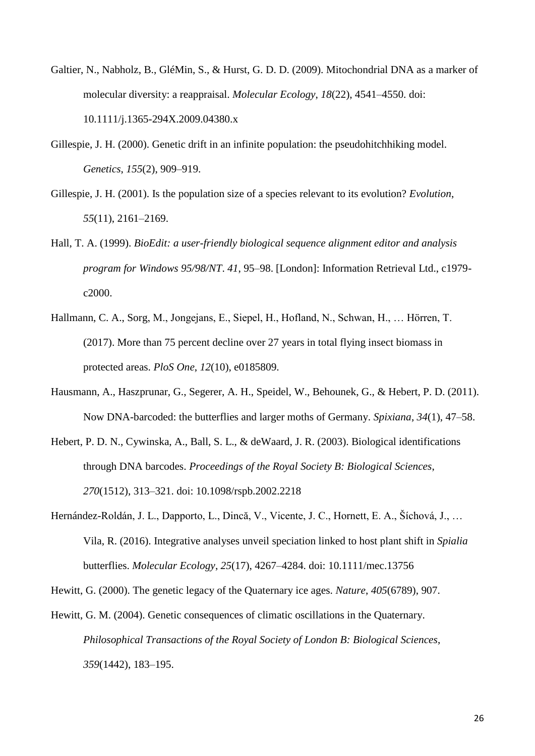- Galtier, N., Nabholz, B., GléMin, S., & Hurst, G. D. D. (2009). Mitochondrial DNA as a marker of molecular diversity: a reappraisal. *Molecular Ecology*, *18*(22), 4541–4550. doi: 10.1111/j.1365-294X.2009.04380.x
- Gillespie, J. H. (2000). Genetic drift in an infinite population: the pseudohitchhiking model. *Genetics*, *155*(2), 909–919.
- Gillespie, J. H. (2001). Is the population size of a species relevant to its evolution? *Evolution*, *55*(11), 2161–2169.
- Hall, T. A. (1999). *BioEdit: a user-friendly biological sequence alignment editor and analysis program for Windows 95/98/NT*. *41*, 95–98. [London]: Information Retrieval Ltd., c1979 c2000.
- Hallmann, C. A., Sorg, M., Jongejans, E., Siepel, H., Hofland, N., Schwan, H., … Hörren, T. (2017). More than 75 percent decline over 27 years in total flying insect biomass in protected areas. *PloS One*, *12*(10), e0185809.
- Hausmann, A., Haszprunar, G., Segerer, A. H., Speidel, W., Behounek, G., & Hebert, P. D. (2011). Now DNA-barcoded: the butterflies and larger moths of Germany. *Spixiana*, *34*(1), 47–58.
- Hebert, P. D. N., Cywinska, A., Ball, S. L., & deWaard, J. R. (2003). Biological identifications through DNA barcodes. *Proceedings of the Royal Society B: Biological Sciences*, *270*(1512), 313–321. doi: 10.1098/rspb.2002.2218
- Hernández-Roldán, J. L., Dapporto, L., Dincă, V., Vicente, J. C., Hornett, E. A., Šíchová, J., … Vila, R. (2016). Integrative analyses unveil speciation linked to host plant shift in *Spialia* butterflies. *Molecular Ecology*, *25*(17), 4267–4284. doi: 10.1111/mec.13756

Hewitt, G. (2000). The genetic legacy of the Quaternary ice ages. *Nature*, *405*(6789), 907.

Hewitt, G. M. (2004). Genetic consequences of climatic oscillations in the Quaternary. *Philosophical Transactions of the Royal Society of London B: Biological Sciences*, *359*(1442), 183–195.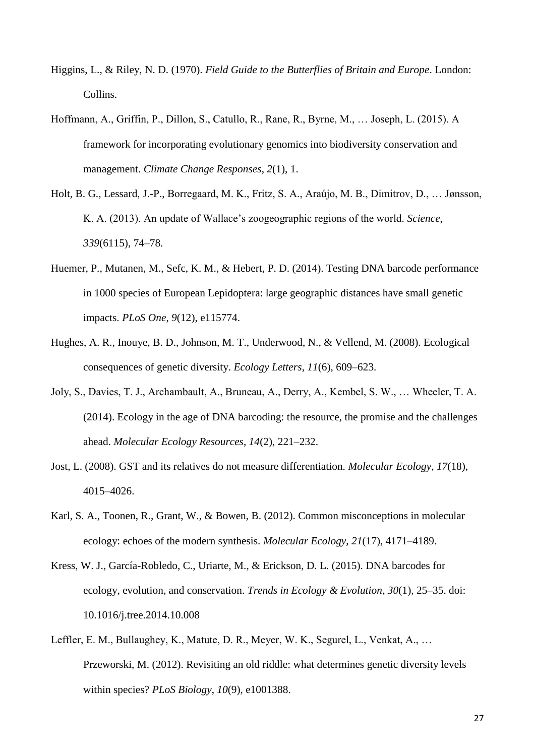- Higgins, L., & Riley, N. D. (1970). *Field Guide to the Butterflies of Britain and Europe*. London: Collins.
- Hoffmann, A., Griffin, P., Dillon, S., Catullo, R., Rane, R., Byrne, M., … Joseph, L. (2015). A framework for incorporating evolutionary genomics into biodiversity conservation and management. *Climate Change Responses*, *2*(1), 1.
- Holt, B. G., Lessard, J.-P., Borregaard, M. K., Fritz, S. A., Araújo, M. B., Dimitrov, D., … Jønsson, K. A. (2013). An update of Wallace's zoogeographic regions of the world. *Science*, *339*(6115), 74–78.
- Huemer, P., Mutanen, M., Sefc, K. M., & Hebert, P. D. (2014). Testing DNA barcode performance in 1000 species of European Lepidoptera: large geographic distances have small genetic impacts. *PLoS One*, *9*(12), e115774.
- Hughes, A. R., Inouye, B. D., Johnson, M. T., Underwood, N., & Vellend, M. (2008). Ecological consequences of genetic diversity. *Ecology Letters*, *11*(6), 609–623.
- Joly, S., Davies, T. J., Archambault, A., Bruneau, A., Derry, A., Kembel, S. W., … Wheeler, T. A. (2014). Ecology in the age of DNA barcoding: the resource, the promise and the challenges ahead. *Molecular Ecology Resources*, *14*(2), 221–232.
- Jost, L. (2008). GST and its relatives do not measure differentiation. *Molecular Ecology*, *17*(18), 4015–4026.
- Karl, S. A., Toonen, R., Grant, W., & Bowen, B. (2012). Common misconceptions in molecular ecology: echoes of the modern synthesis. *Molecular Ecology*, *21*(17), 4171–4189.
- Kress, W. J., García-Robledo, C., Uriarte, M., & Erickson, D. L. (2015). DNA barcodes for ecology, evolution, and conservation. *Trends in Ecology & Evolution*, *30*(1), 25–35. doi: 10.1016/j.tree.2014.10.008
- Leffler, E. M., Bullaughey, K., Matute, D. R., Meyer, W. K., Segurel, L., Venkat, A., … Przeworski, M. (2012). Revisiting an old riddle: what determines genetic diversity levels within species? *PLoS Biology*, *10*(9), e1001388.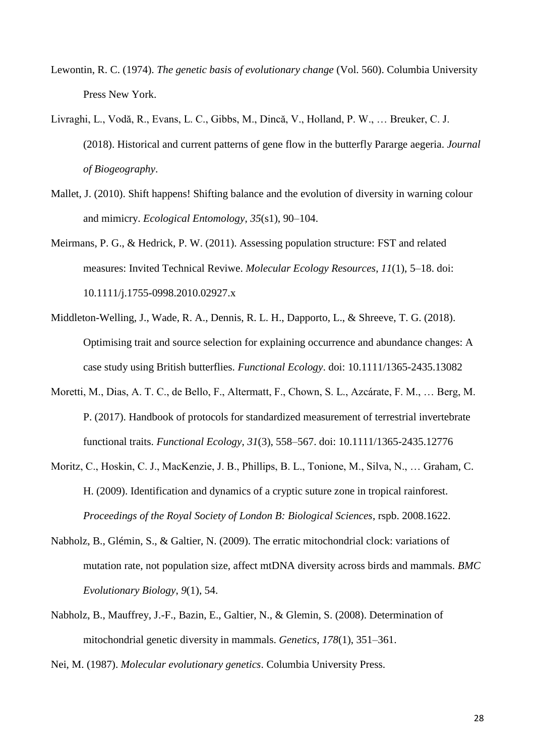- Lewontin, R. C. (1974). *The genetic basis of evolutionary change* (Vol. 560). Columbia University Press New York.
- Livraghi, L., Vodă, R., Evans, L. C., Gibbs, M., Dincă, V., Holland, P. W., … Breuker, C. J. (2018). Historical and current patterns of gene flow in the butterfly Pararge aegeria. *Journal of Biogeography*.
- Mallet, J. (2010). Shift happens! Shifting balance and the evolution of diversity in warning colour and mimicry. *Ecological Entomology*, *35*(s1), 90–104.
- Meirmans, P. G., & Hedrick, P. W. (2011). Assessing population structure: FST and related measures: Invited Technical Reviwe. *Molecular Ecology Resources*, *11*(1), 5–18. doi: 10.1111/j.1755-0998.2010.02927.x
- Middleton-Welling, J., Wade, R. A., Dennis, R. L. H., Dapporto, L., & Shreeve, T. G. (2018). Optimising trait and source selection for explaining occurrence and abundance changes: A case study using British butterflies. *Functional Ecology*. doi: 10.1111/1365-2435.13082
- Moretti, M., Dias, A. T. C., de Bello, F., Altermatt, F., Chown, S. L., Azcárate, F. M., … Berg, M. P. (2017). Handbook of protocols for standardized measurement of terrestrial invertebrate functional traits. *Functional Ecology*, *31*(3), 558–567. doi: 10.1111/1365-2435.12776
- Moritz, C., Hoskin, C. J., MacKenzie, J. B., Phillips, B. L., Tonione, M., Silva, N., … Graham, C. H. (2009). Identification and dynamics of a cryptic suture zone in tropical rainforest. *Proceedings of the Royal Society of London B: Biological Sciences*, rspb. 2008.1622.
- Nabholz, B., Glémin, S., & Galtier, N. (2009). The erratic mitochondrial clock: variations of mutation rate, not population size, affect mtDNA diversity across birds and mammals. *BMC Evolutionary Biology*, *9*(1), 54.
- Nabholz, B., Mauffrey, J.-F., Bazin, E., Galtier, N., & Glemin, S. (2008). Determination of mitochondrial genetic diversity in mammals. *Genetics*, *178*(1), 351–361.

Nei, M. (1987). *Molecular evolutionary genetics*. Columbia University Press.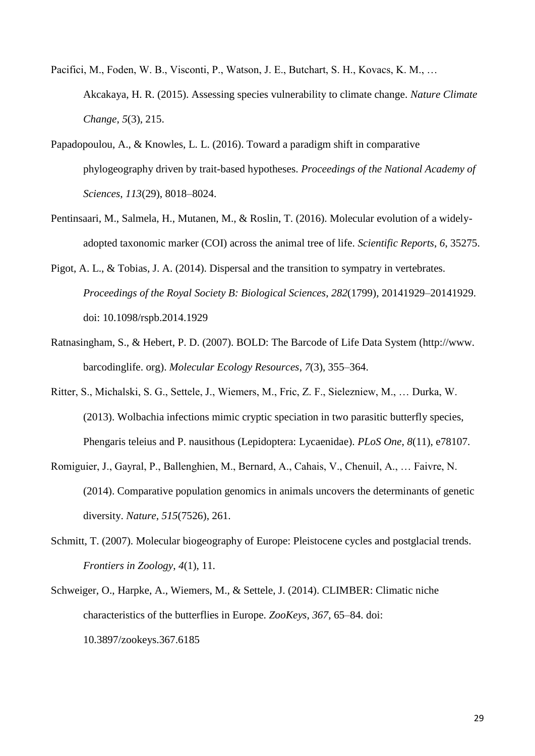- Pacifici, M., Foden, W. B., Visconti, P., Watson, J. E., Butchart, S. H., Kovacs, K. M., … Akcakaya, H. R. (2015). Assessing species vulnerability to climate change. *Nature Climate Change*, *5*(3), 215.
- Papadopoulou, A., & Knowles, L. L. (2016). Toward a paradigm shift in comparative phylogeography driven by trait-based hypotheses. *Proceedings of the National Academy of Sciences*, *113*(29), 8018–8024.
- Pentinsaari, M., Salmela, H., Mutanen, M., & Roslin, T. (2016). Molecular evolution of a widelyadopted taxonomic marker (COI) across the animal tree of life. *Scientific Reports*, *6*, 35275.
- Pigot, A. L., & Tobias, J. A. (2014). Dispersal and the transition to sympatry in vertebrates. *Proceedings of the Royal Society B: Biological Sciences*, *282*(1799), 20141929–20141929. doi: 10.1098/rspb.2014.1929
- Ratnasingham, S., & Hebert, P. D. (2007). BOLD: The Barcode of Life Data System (http://www. barcodinglife. org). *Molecular Ecology Resources*, *7*(3), 355–364.
- Ritter, S., Michalski, S. G., Settele, J., Wiemers, M., Fric, Z. F., Sielezniew, M., … Durka, W. (2013). Wolbachia infections mimic cryptic speciation in two parasitic butterfly species, Phengaris teleius and P. nausithous (Lepidoptera: Lycaenidae). *PLoS One*, *8*(11), e78107.
- Romiguier, J., Gayral, P., Ballenghien, M., Bernard, A., Cahais, V., Chenuil, A., … Faivre, N. (2014). Comparative population genomics in animals uncovers the determinants of genetic diversity. *Nature*, *515*(7526), 261.
- Schmitt, T. (2007). Molecular biogeography of Europe: Pleistocene cycles and postglacial trends. *Frontiers in Zoology*, *4*(1), 11.
- Schweiger, O., Harpke, A., Wiemers, M., & Settele, J. (2014). CLIMBER: Climatic niche characteristics of the butterflies in Europe. *ZooKeys*, *367*, 65–84. doi: 10.3897/zookeys.367.6185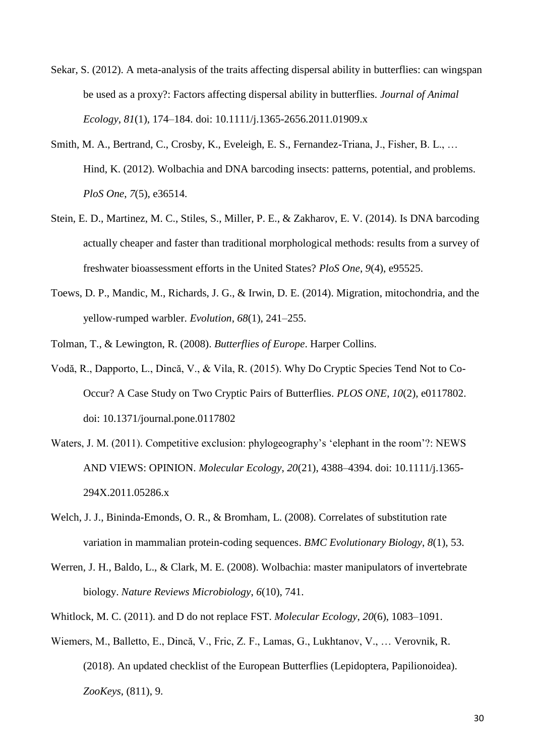- Sekar, S. (2012). A meta-analysis of the traits affecting dispersal ability in butterflies: can wingspan be used as a proxy?: Factors affecting dispersal ability in butterflies. *Journal of Animal Ecology*, *81*(1), 174–184. doi: 10.1111/j.1365-2656.2011.01909.x
- Smith, M. A., Bertrand, C., Crosby, K., Eveleigh, E. S., Fernandez-Triana, J., Fisher, B. L., … Hind, K. (2012). Wolbachia and DNA barcoding insects: patterns, potential, and problems. *PloS One*, *7*(5), e36514.
- Stein, E. D., Martinez, M. C., Stiles, S., Miller, P. E., & Zakharov, E. V. (2014). Is DNA barcoding actually cheaper and faster than traditional morphological methods: results from a survey of freshwater bioassessment efforts in the United States? *PloS One*, *9*(4), e95525.
- Toews, D. P., Mandic, M., Richards, J. G., & Irwin, D. E. (2014). Migration, mitochondria, and the yellow‐rumped warbler. *Evolution*, *68*(1), 241–255.
- Tolman, T., & Lewington, R. (2008). *Butterflies of Europe*. Harper Collins.
- Vodă, R., Dapporto, L., Dincă, V., & Vila, R. (2015). Why Do Cryptic Species Tend Not to Co-Occur? A Case Study on Two Cryptic Pairs of Butterflies. *PLOS ONE*, *10*(2), e0117802. doi: 10.1371/journal.pone.0117802
- Waters, J. M. (2011). Competitive exclusion: phylogeography's 'elephant in the room'?: NEWS AND VIEWS: OPINION. *Molecular Ecology*, *20*(21), 4388–4394. doi: 10.1111/j.1365- 294X.2011.05286.x
- Welch, J. J., Bininda-Emonds, O. R., & Bromham, L. (2008). Correlates of substitution rate variation in mammalian protein-coding sequences. *BMC Evolutionary Biology*, *8*(1), 53.
- Werren, J. H., Baldo, L., & Clark, M. E. (2008). Wolbachia: master manipulators of invertebrate biology. *Nature Reviews Microbiology*, *6*(10), 741.
- Whitlock, M. C. (2011). and D do not replace FST. *Molecular Ecology*, *20*(6), 1083–1091.
- Wiemers, M., Balletto, E., Dincă, V., Fric, Z. F., Lamas, G., Lukhtanov, V., … Verovnik, R. (2018). An updated checklist of the European Butterflies (Lepidoptera, Papilionoidea). *ZooKeys*, (811), 9.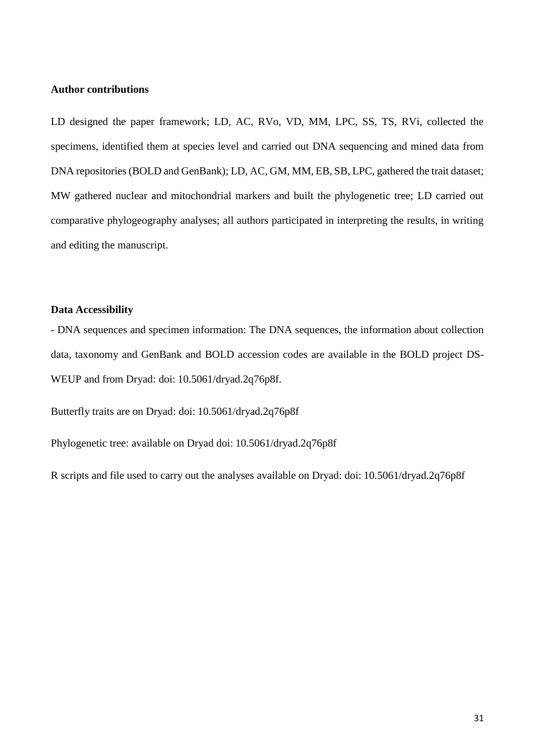## **Author contributions**

LD designed the paper framework; LD, AC, RVo, VD, MM, LPC, SS, TS, RVi, collected the specimens, identified them at species level and carried out DNA sequencing and mined data from DNA repositories (BOLD and GenBank); LD, AC, GM, MM, EB, SB, LPC, gathered the trait dataset; MW gathered nuclear and mitochondrial markers and built the phylogenetic tree; LD carried out comparative phylogeography analyses; all authors participated in interpreting the results, in writing and editing the manuscript.

## **Data Accessibility**

- DNA sequences and specimen information: The DNA sequences, the information about collection data, taxonomy and GenBank and BOLD accession codes are available in the BOLD project DS-WEUP and from Dryad: doi: 10.5061/dryad.2q76p8f.

Butterfly traits are on Dryad: doi: 10.5061/dryad.2q76p8f

Phylogenetic tree: available on Dryad doi: 10.5061/dryad.2q76p8f

R scripts and file used to carry out the analyses available on Dryad: doi: 10.5061/dryad.2q76p8f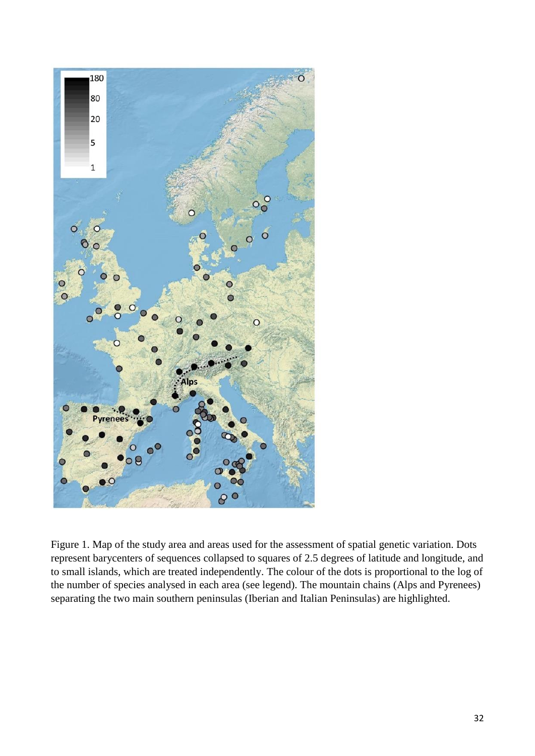

Figure 1. Map of the study area and areas used for the assessment of spatial genetic variation. Dots represent barycenters of sequences collapsed to squares of 2.5 degrees of latitude and longitude, and to small islands, which are treated independently. The colour of the dots is proportional to the log of the number of species analysed in each area (see legend). The mountain chains (Alps and Pyrenees) separating the two main southern peninsulas (Iberian and Italian Peninsulas) are highlighted.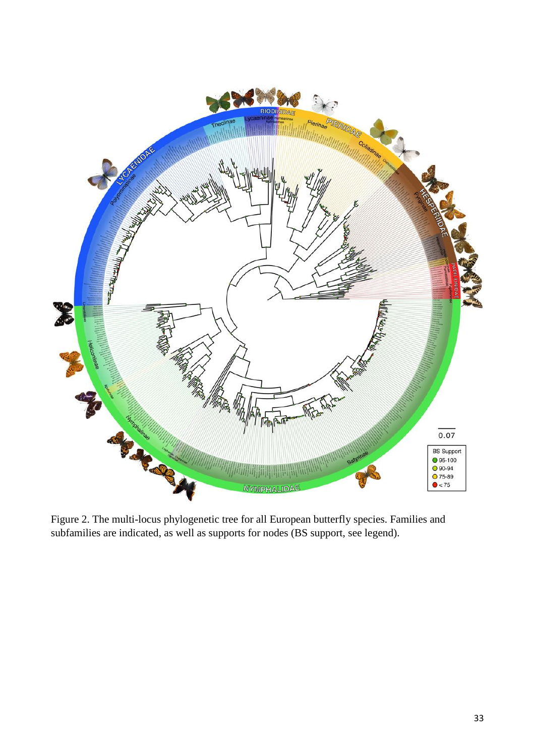

Figure 2. The multi-locus phylogenetic tree for all European butterfly species. Families and subfamilies are indicated, as well as supports for nodes (BS support, see legend).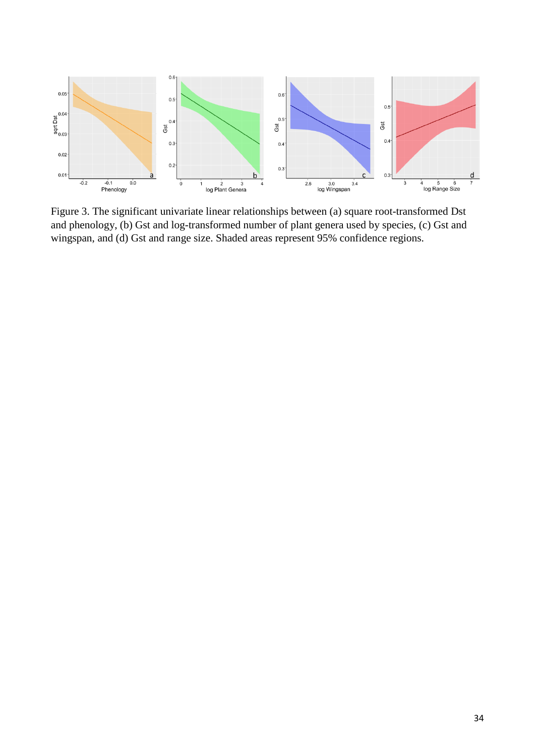

Figure 3. The significant univariate linear relationships between (a) square root-transformed Dst and phenology, (b) Gst and log-transformed number of plant genera used by species, (c) Gst and wingspan, and (d) Gst and range size. Shaded areas represent 95% confidence regions.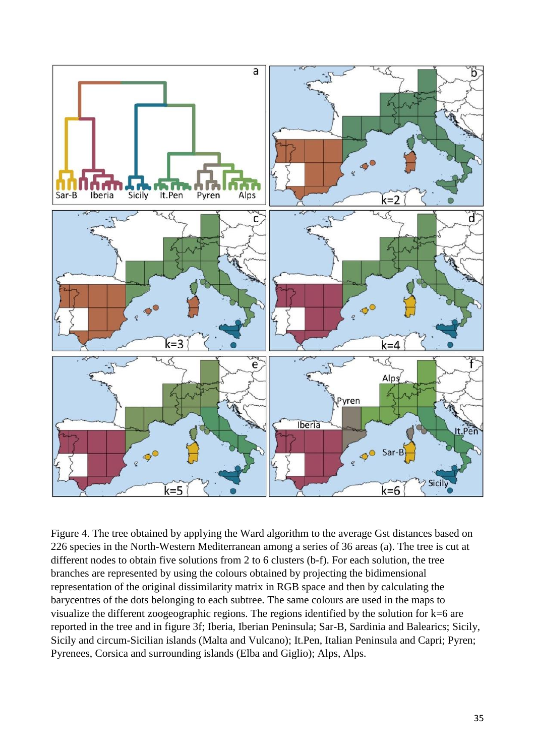

Figure 4. The tree obtained by applying the Ward algorithm to the average Gst distances based on 226 species in the North-Western Mediterranean among a series of 36 areas (a). The tree is cut at different nodes to obtain five solutions from 2 to 6 clusters (b-f). For each solution, the tree branches are represented by using the colours obtained by projecting the bidimensional representation of the original dissimilarity matrix in RGB space and then by calculating the barycentres of the dots belonging to each subtree. The same colours are used in the maps to visualize the different zoogeographic regions. The regions identified by the solution for k=6 are reported in the tree and in figure 3f; Iberia, Iberian Peninsula; Sar-B, Sardinia and Balearics; Sicily, Sicily and circum-Sicilian islands (Malta and Vulcano); It.Pen, Italian Peninsula and Capri; Pyren; Pyrenees, Corsica and surrounding islands (Elba and Giglio); Alps, Alps.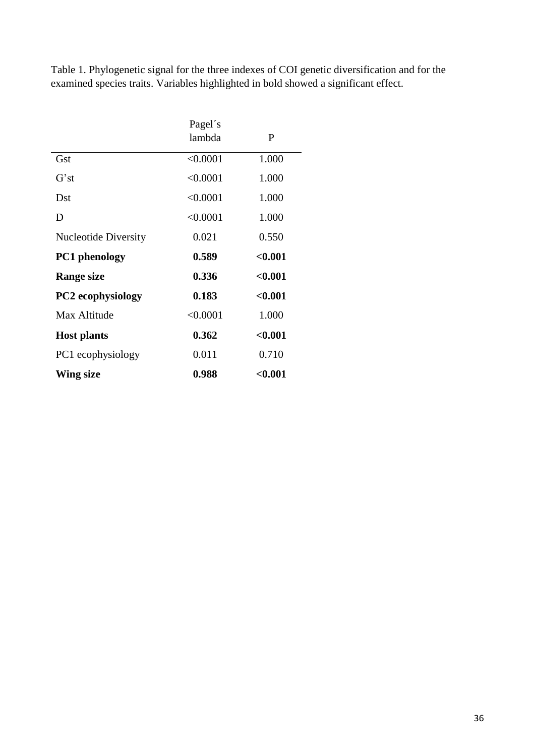Table 1. Phylogenetic signal for the three indexes of COI genetic diversification and for the examined species traits. Variables highlighted in bold showed a significant effect.

|                             | Pagel's  |         |
|-----------------------------|----------|---------|
|                             | lambda   | P       |
| Gst                         | < 0.0001 | 1.000   |
| $G^{\prime}$ st             | < 0.0001 | 1.000   |
| Dst                         | < 0.0001 | 1.000   |
| D                           | < 0.0001 | 1.000   |
| <b>Nucleotide Diversity</b> | 0.021    | 0.550   |
|                             |          |         |
| <b>PC1</b> phenology        | 0.589    | < 0.001 |
| <b>Range size</b>           | 0.336    | < 0.001 |
| <b>PC2</b> ecophysiology    | 0.183    | < 0.001 |
| Max Altitude                | < 0.0001 | 1.000   |
| <b>Host plants</b>          | 0.362    | < 0.001 |
| PC1 ecophysiology           | 0.011    | 0.710   |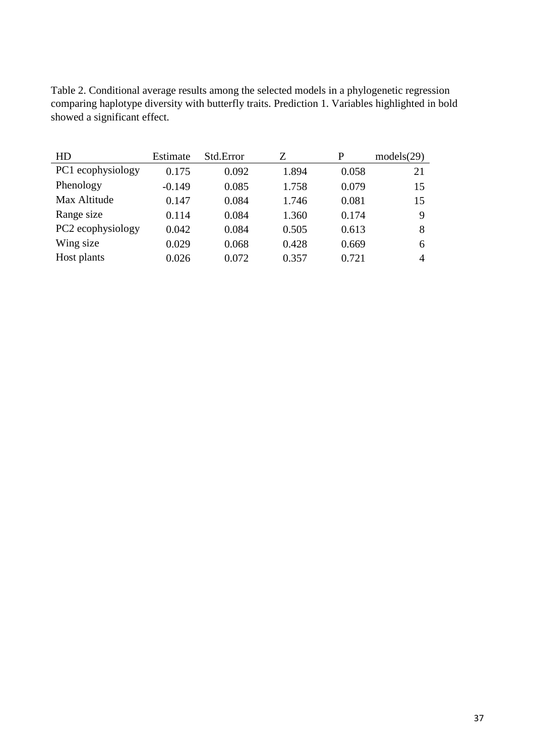Table 2. Conditional average results among the selected models in a phylogenetic regression comparing haplotype diversity with butterfly traits. Prediction 1. Variables highlighted in bold showed a significant effect.

| HD                | Estimate | Std.Error | Z     | P     | models(29) |
|-------------------|----------|-----------|-------|-------|------------|
| PC1 ecophysiology | 0.175    | 0.092     | 1.894 | 0.058 | 21         |
| Phenology         | $-0.149$ | 0.085     | 1.758 | 0.079 | 15         |
| Max Altitude      | 0.147    | 0.084     | 1.746 | 0.081 | 15         |
| Range size        | 0.114    | 0.084     | 1.360 | 0.174 | 9          |
| PC2 ecophysiology | 0.042    | 0.084     | 0.505 | 0.613 | 8          |
| Wing size         | 0.029    | 0.068     | 0.428 | 0.669 | 6          |
| Host plants       | 0.026    | 0.072     | 0.357 | 0.721 | 4          |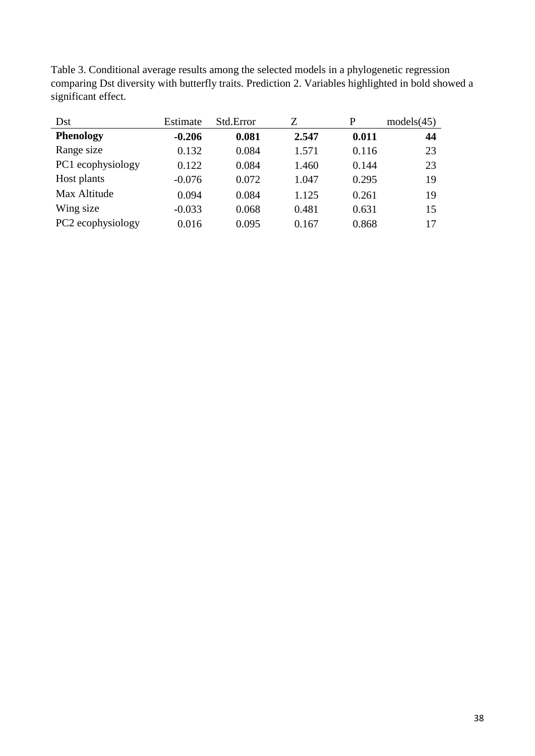| Table 3. Conditional average results among the selected models in a phylogenetic regression         |
|-----------------------------------------------------------------------------------------------------|
| comparing Dst diversity with butterfly traits. Prediction 2. Variables highlighted in bold showed a |
| significant effect.                                                                                 |

| Dst               | Estimate | Std.Error | Z     | P     | models(45) |
|-------------------|----------|-----------|-------|-------|------------|
| <b>Phenology</b>  | $-0.206$ | 0.081     | 2.547 | 0.011 | 44         |
| Range size        | 0.132    | 0.084     | 1.571 | 0.116 | 23         |
| PC1 ecophysiology | 0.122    | 0.084     | 1.460 | 0.144 | 23         |
| Host plants       | $-0.076$ | 0.072     | 1.047 | 0.295 | 19         |
| Max Altitude      | 0.094    | 0.084     | 1.125 | 0.261 | 19         |
| Wing size         | $-0.033$ | 0.068     | 0.481 | 0.631 | 15         |
| PC2 ecophysiology | 0.016    | 0.095     | 0.167 | 0.868 | 17         |